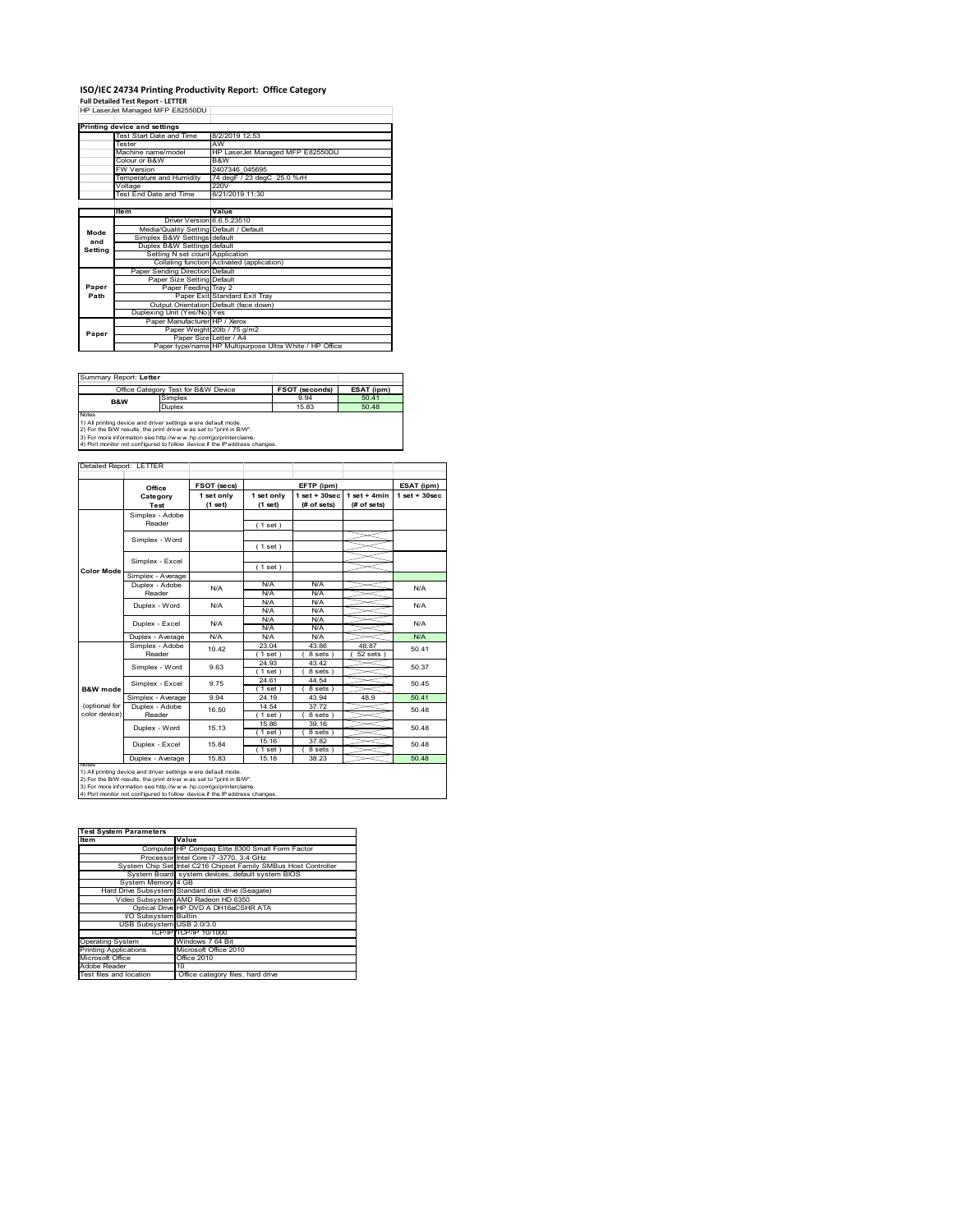# **ISO/IEC 24734 Printing Productivity Report: Office Category<br>Full Detailed Test Report - LETTER<br>HP LaserJet Managed MFP E82550DU │**

|         | Printing device and settings            |                                                         |  |  |
|---------|-----------------------------------------|---------------------------------------------------------|--|--|
|         | Test Start Date and Time                | 8/2/2019 12:53                                          |  |  |
|         | Tester                                  | AW                                                      |  |  |
|         | Machine name/model                      | HP LaserJet Managed MFP E82550DU                        |  |  |
|         | Colour or B&W                           | B&W                                                     |  |  |
|         | <b>FW Version</b>                       | 2407346 045695                                          |  |  |
|         | Temperature and Humidity                | 74 degF / 23 degC 25.0 %rH                              |  |  |
|         | Voltage                                 | 220V                                                    |  |  |
|         | Test End Date and Time                  | 8/21/2019 11:30                                         |  |  |
|         |                                         |                                                         |  |  |
|         | ltem                                    | Value                                                   |  |  |
|         | Driver Version 6.6.5.23510              |                                                         |  |  |
| Mode    | Media/Quality Setting Default / Default |                                                         |  |  |
| and     | Simplex B&W Settings default            |                                                         |  |  |
| Settina | Duplex B&W Settings default             |                                                         |  |  |
|         | Setting N set count Application         |                                                         |  |  |
|         |                                         | Collating function Activated (application)              |  |  |
|         | Paper Sending Direction Default         |                                                         |  |  |
|         | Paper Size Setting Default              |                                                         |  |  |
| Paper   | Paper Feeding Tray 2                    |                                                         |  |  |
| Path    |                                         | Paper Exit Standard Exit Trav                           |  |  |
|         |                                         | Output Orientation Default (face down)                  |  |  |
|         | Duplexing Unit (Yes/No) Yes             |                                                         |  |  |
|         | Paper Manufacturer HP / Xerox           |                                                         |  |  |
| Paper   |                                         | Paper Weight 20lb / 75 g/m2                             |  |  |
|         |                                         | Paper Size Letter / A4                                  |  |  |
|         |                                         | Paper type/name HP Multipurpose Ultra White / HP Office |  |  |

| Summary Report: Letter                                                     |                                     |                       |            |  |
|----------------------------------------------------------------------------|-------------------------------------|-----------------------|------------|--|
|                                                                            | Office Category Test for B&W Device | <b>FSOT (seconds)</b> | ESAT (ipm) |  |
| <b>B&amp;W</b>                                                             | Simplex                             | 9.94                  | 50.41      |  |
|                                                                            | Duplex                              | 15.83                 | 50.48      |  |
| <b>Notes</b>                                                               |                                     |                       |            |  |
| 1) All printing device and driver settings w ere default mode.             |                                     |                       |            |  |
| 2) For the B/W results, the print driver was set to "print in B/W".        |                                     |                       |            |  |
| 3) For more information see http://www.hp.com/go/printerclaims.            |                                     |                       |            |  |
| 4) Port monitor not configured to follow device if the IP address changes. |                                     |                       |            |  |

|                     | Office            | FSOT (secs)             |                       | EFTP (ipm)                     |                               | ESAT (ipm)      |
|---------------------|-------------------|-------------------------|-----------------------|--------------------------------|-------------------------------|-----------------|
|                     | Category<br>Test  | 1 set only<br>$(1$ set) | 1 set only<br>(1 set) | $1$ set + 30sec<br>(# of sets) | $1$ set + 4min<br>(# of sets) | $1$ set + 30sec |
|                     | Simplex - Adobe   |                         |                       |                                |                               |                 |
|                     | Reader            |                         | (1 set)               |                                |                               |                 |
|                     | Simplex - Word    |                         |                       |                                |                               |                 |
|                     |                   |                         | (1 set)               |                                |                               |                 |
|                     | Simplex - Excel   |                         |                       |                                |                               |                 |
| <b>Color Mode</b>   |                   |                         | (1 set)               |                                |                               |                 |
|                     | Simplex - Average |                         |                       |                                |                               |                 |
|                     | Duplex - Adobe    | N/A                     | N/A                   | N/A                            |                               | N/A             |
|                     | Reader            |                         | N/A                   | N/A                            |                               |                 |
|                     | Duplex - Word     | N/A                     | N/A                   | N/A                            |                               | N/A             |
|                     |                   |                         | N/A                   | N/A                            |                               |                 |
|                     | Duplex - Excel    | N/A                     | N/A                   | N/A                            |                               | N/A             |
|                     |                   |                         | N/A                   | N/A                            |                               |                 |
|                     | Duplex - Average  | N/A                     | N/A                   | N/A                            |                               | N/A             |
|                     | Simplex - Adobe   | 10.42                   | 23.04                 | 43.86                          | 48.87                         | 5041            |
|                     | Reader            |                         | (1 set)               | 8 sets)                        | $52$ sets $)$                 |                 |
|                     | Simplex - Word    | 9.63                    | 24.93                 | 43.42                          |                               | 50.37           |
|                     |                   |                         | $1$ set)              | 8 sets )                       |                               |                 |
|                     | Simplex - Excel   | 9.75                    | 24.61                 | 44.54                          |                               | 50.45           |
| <b>B&amp;W</b> mode |                   |                         | (1 set)               | 8 sets)                        |                               |                 |
|                     | Simplex - Average | 9.94                    | 24 19                 | 43.94                          | 48.9                          | 50.41           |
| (optional for       | Duplex - Adobe    | 16.50                   | 14.54                 | 37.72                          |                               | 50.48           |
| color device)       | Reader            |                         | (1 set)               | 8 sets)                        |                               |                 |
|                     | Duplex - Word     | 15.13                   | 15.86                 | 39.16                          |                               | 50.48           |
|                     |                   |                         | (1 set)               | 8 sets)                        |                               |                 |
|                     | Duplex - Excel    | 15.84                   | 15.16                 | 37.82                          |                               | 50.48           |
|                     |                   |                         | (1 set)               | 8 sets)                        |                               |                 |
|                     | Duplex - Average  | 15.83                   | 15.18                 | 38.23                          |                               | 50.48           |

2) For the B/W results, the print driver w as set to "print in B/W".<br>3) For more information see http://w w w .hp.com/go/printerclaims.<br>4) Port monitor not configured to follow device if the IP address changes.

| <b>Test System Parameters</b> |                                                                 |  |  |  |
|-------------------------------|-----------------------------------------------------------------|--|--|--|
| <b>Item</b>                   | Value                                                           |  |  |  |
|                               | Computer HP Compag Elite 8300 Small Form Factor                 |  |  |  |
|                               | Processor Intel Core i7 -3770, 3.4 GHz                          |  |  |  |
|                               | System Chip Set Intel C216 Chipset Family SMBus Host Controller |  |  |  |
|                               | System Board system devices, default system BIOS                |  |  |  |
| System Memory 4 GB            |                                                                 |  |  |  |
|                               | Hard Drive Subsystem Standard disk drive (Seagate)              |  |  |  |
|                               | Video Subsystem AMD Radeon HD 6350                              |  |  |  |
|                               | Optical Drive HP DVD A DH16aCSHR ATA                            |  |  |  |
| VO Subsystem Builtin          |                                                                 |  |  |  |
| USB Subsystem USB 2.0/3.0     |                                                                 |  |  |  |
|                               | ТСР/IР ГСР/IР 10/1000                                           |  |  |  |
| <b>Operating System</b>       | Windows 7 64 Bit                                                |  |  |  |
| <b>Printing Applications</b>  | Microsoft Office 2010                                           |  |  |  |
| Microsoft Office              | Office 2010                                                     |  |  |  |
| Adobe Reader                  | 10                                                              |  |  |  |
| Test files and location       | Office category files, hard drive                               |  |  |  |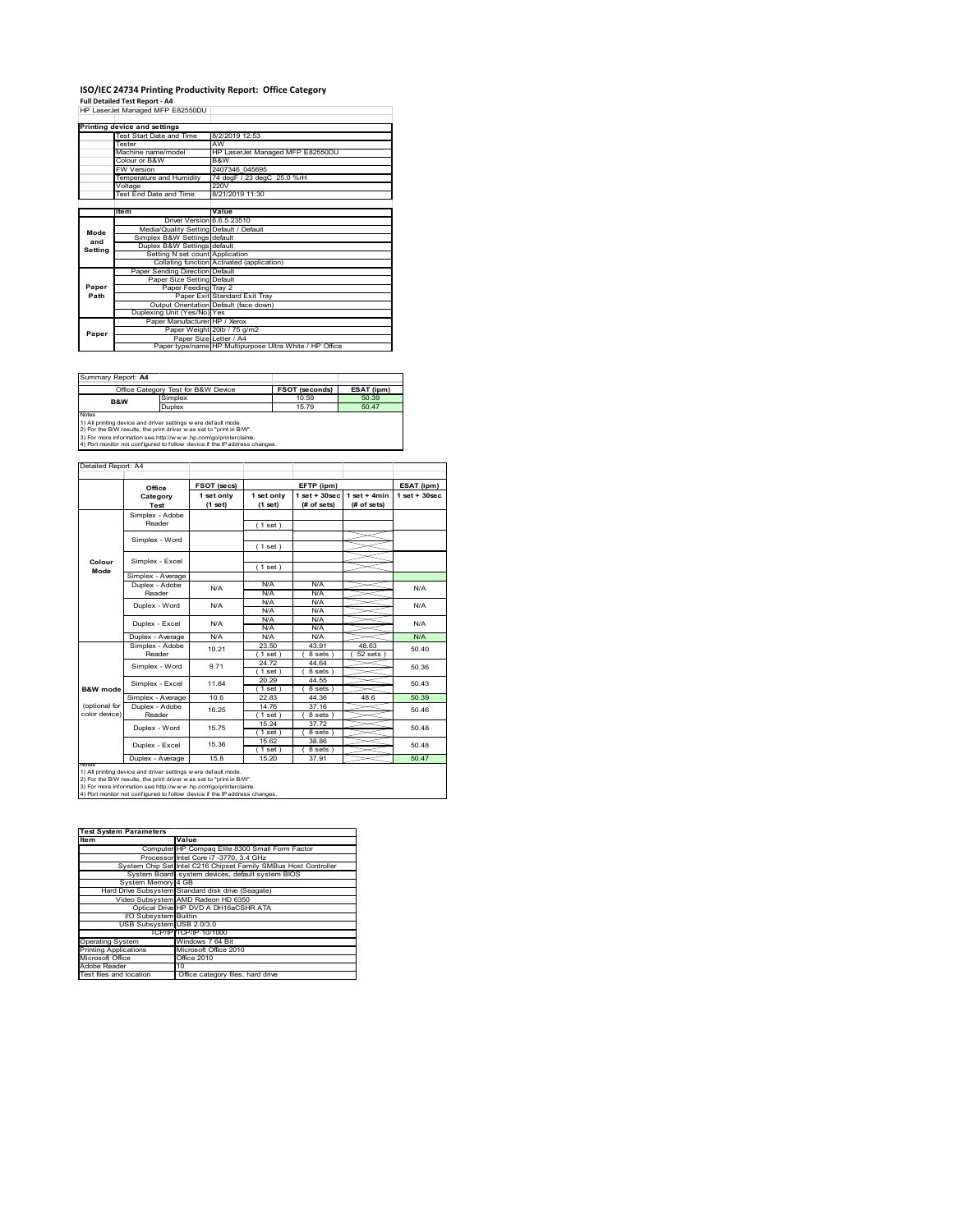# **ISO/IEC 24734 Printing Productivity Report: Office Category<br>Full Detailed Test Report - A4<br>HP LaserJet Managed MFP E82550DU |**

|         | Printing device and settings            |                                                         |  |  |
|---------|-----------------------------------------|---------------------------------------------------------|--|--|
|         | Test Start Date and Time                | 8/2/2019 12:53                                          |  |  |
|         | Tester                                  | AW                                                      |  |  |
|         | Machine name/model                      | HP LaserJet Managed MFP E82550DU                        |  |  |
|         | Colour or B&W                           | B&W                                                     |  |  |
|         | <b>FW Version</b>                       | 2407346 045695                                          |  |  |
|         | Temperature and Humidity                | 74 degF / 23 degC 25.0 %rH                              |  |  |
|         | Voltage                                 | 220V                                                    |  |  |
|         | Test End Date and Time                  | 8/21/2019 11:30                                         |  |  |
|         |                                         |                                                         |  |  |
|         | Item                                    | Value                                                   |  |  |
|         | Driver Version 6.6.5.23510              |                                                         |  |  |
| Mode    | Media/Quality Setting Default / Default |                                                         |  |  |
| and     | Simplex B&W Settings default            |                                                         |  |  |
| Settina | Duplex B&W Settings default             |                                                         |  |  |
|         | Setting N set count Application         |                                                         |  |  |
|         |                                         | Collating function Activated (application)              |  |  |
|         | Paper Sending Direction Default         |                                                         |  |  |
|         | Paper Size Setting Default              |                                                         |  |  |
| Paper   | Paper Feeding Tray 2                    |                                                         |  |  |
| Path    |                                         | Paper Exit Standard Exit Tray                           |  |  |
|         |                                         | Output Orientation Default (face down)                  |  |  |
|         | Duplexing Unit (Yes/No) Yes             |                                                         |  |  |
|         | Paper Manufacturer HP / Xerox           |                                                         |  |  |
| Paper   |                                         | Paper Weight 20lb / 75 g/m2                             |  |  |
|         | Paper Size Letter / A4                  |                                                         |  |  |
|         |                                         | Paper type/name HP Multipurpose Ultra White / HP Office |  |  |

| Summary Report: A4                                                         |                                                                |                       |            |  |  |
|----------------------------------------------------------------------------|----------------------------------------------------------------|-----------------------|------------|--|--|
|                                                                            | Office Category Test for B&W Device                            | <b>FSOT (seconds)</b> | ESAT (ipm) |  |  |
|                                                                            | Simplex                                                        | 10.59                 | 50.39      |  |  |
| <b>B&amp;W</b><br>Duplex                                                   |                                                                | 15.79                 | 50.47      |  |  |
| Notes                                                                      |                                                                |                       |            |  |  |
|                                                                            | 1) All printing device and driver settings w ere default mode. |                       |            |  |  |
| 2) For the B/W results, the print driver was set to "print in B/W".        |                                                                |                       |            |  |  |
| 3) For more information see http://www.hp.com/go/printerclaims.            |                                                                |                       |            |  |  |
| 4) Port monitor not configured to follow device if the IP address changes. |                                                                |                       |            |  |  |

|                     | Office            | FSOT (secs)           |                       | EFTP (ipm)                        |                               | ESAT (ipm)        |
|---------------------|-------------------|-----------------------|-----------------------|-----------------------------------|-------------------------------|-------------------|
|                     | Category<br>Test  | 1 set only<br>(1 set) | 1 set only<br>(1 set) | $1$ set + $30$ sec<br>(# of sets) | $1$ set + 4min<br>(# of sets) | $1$ set $+30$ sec |
|                     | Simplex - Adobe   |                       |                       |                                   |                               |                   |
|                     | Reader            |                       | (1 set)               |                                   |                               |                   |
|                     |                   |                       |                       |                                   |                               |                   |
|                     | Simplex - Word    |                       | (1 set)               |                                   |                               |                   |
| Colour              | Simplex - Excel   |                       |                       |                                   |                               |                   |
| Mode                |                   |                       | (1 set)               |                                   |                               |                   |
|                     | Simplex - Average |                       |                       |                                   |                               |                   |
|                     | Duplex - Adobe    | N/A                   | N/A                   | N/A                               |                               | N/A               |
|                     | Reader            |                       | N/A                   | N/A                               |                               |                   |
|                     | Duplex - Word     | N/A                   | N/A                   | N/A                               |                               | N/A               |
|                     |                   |                       | N/A                   | N/A                               |                               |                   |
|                     | Duplex - Excel    | N/A                   | N/A                   | N/A                               |                               | N/A               |
|                     |                   |                       | N/A                   | N/A                               |                               |                   |
|                     | Duplex - Average  | N/A                   | N/A                   | N/A                               |                               | N/A               |
|                     | Simplex - Adobe   | 10 21                 | 23.50                 | 43.91                             | 48.63                         | 50.40             |
|                     | Reader            |                       | $1$ set)              | 8 sets                            | 52 sets                       |                   |
|                     | Simplex - Word    | 971                   | 24.72                 | 44.64                             |                               | 50.36             |
|                     |                   |                       | (1 set)               | 8 sets                            |                               |                   |
|                     |                   | 1184                  | 20.29                 | 44 55                             |                               | 50.43             |
| <b>B&amp;W</b> mode | Simplex - Excel   |                       | (1 set)               | 8 sets )                          |                               |                   |
|                     | Simplex - Average | 10.6                  | 22.83                 | 44.36                             | 48.6                          | 50.39             |
| (optional for       | Duplex - Adobe    | 16.25                 | 14 76                 | 37 16                             |                               | 50.46             |
| color device)       | Reader            |                       | $1$ set)              | 8 sets)                           |                               |                   |
|                     |                   | 15 75                 | 15.24                 | 37.72                             |                               |                   |
|                     | Duplex - Word     |                       | (1 set)               | 8 sets)                           |                               | 50.48             |
|                     | Duplex - Excel    | 15.36                 | 15.62                 | 38.86                             |                               | 50 48             |
|                     |                   |                       | $1$ set $1$           | 8 sets 1                          |                               |                   |
|                     | Duplex - Average  | 15.8                  | 15.20                 | 37.91                             |                               | 50.47             |

| <b>Test System Parameters</b> |                                                                 |  |  |  |
|-------------------------------|-----------------------------------------------------------------|--|--|--|
| <b>Item</b>                   | Value                                                           |  |  |  |
|                               | Computer HP Compaq Elite 8300 Small Form Factor                 |  |  |  |
|                               | Processor Intel Core i7 -3770, 3.4 GHz                          |  |  |  |
|                               | System Chip Set Intel C216 Chipset Family SMBus Host Controller |  |  |  |
|                               | System Board system devices, default system BIOS                |  |  |  |
| System Memory 4 GB            |                                                                 |  |  |  |
|                               | Hard Drive Subsystem Standard disk drive (Seagate)              |  |  |  |
|                               | Video Subsystem AMD Radeon HD 6350                              |  |  |  |
|                               | Optical Drive HP DVD A DH16aCSHR ATA                            |  |  |  |
| VO Subsystem Builtin          |                                                                 |  |  |  |
| USB Subsystem USB 2.0/3.0     |                                                                 |  |  |  |
|                               | TCP/IP TCP/IP 10/1000                                           |  |  |  |
| <b>Operating System</b>       | Windows 7 64 Bit                                                |  |  |  |
| <b>Printing Applications</b>  | Microsoft Office 2010                                           |  |  |  |
| Microsoft Office              | Office 2010                                                     |  |  |  |
| Adobe Reader                  | 10                                                              |  |  |  |
| Test files and location       | Office category files, hard drive                               |  |  |  |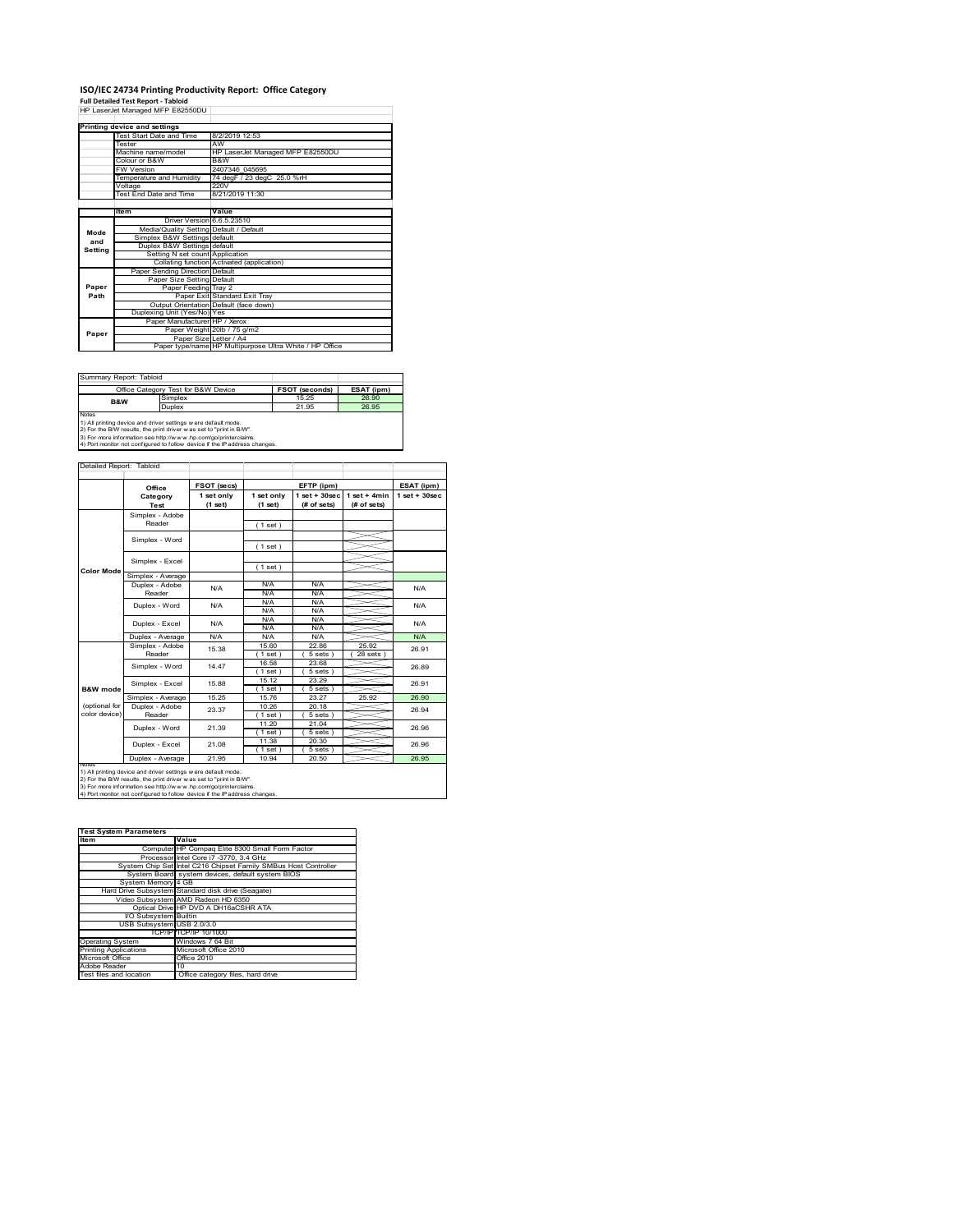# **ISO/IEC 24734 Printing Productivity Report: Office Category<br>Full Detailed Test Report - Tabloid<br>HP LaserJet Managed MFP E82550DU |**

|         | Printing device and settings            |                                                         |  |  |
|---------|-----------------------------------------|---------------------------------------------------------|--|--|
|         | Test Start Date and Time                | 8/2/2019 12:53                                          |  |  |
|         | Tester                                  | AW                                                      |  |  |
|         | Machine name/model                      | HP LaserJet Managed MFP E82550DU                        |  |  |
|         | Colour or B&W                           | B&W                                                     |  |  |
|         | <b>FW Version</b>                       | 2407346 045695                                          |  |  |
|         | Temperature and Humidity                | 74 degF / 23 degC 25.0 %rH                              |  |  |
|         | Voltage                                 | 220V                                                    |  |  |
|         | Test End Date and Time                  | 8/21/2019 11:30                                         |  |  |
|         |                                         |                                                         |  |  |
|         | Item                                    | Value                                                   |  |  |
|         | Driver Version 6.6.5.23510              |                                                         |  |  |
| Mode    | Media/Quality Setting Default / Default |                                                         |  |  |
| and     | Simplex B&W Settings default            |                                                         |  |  |
| Settina | Duplex B&W Settings default             |                                                         |  |  |
|         | Setting N set count Application         |                                                         |  |  |
|         |                                         | Collating function Activated (application)              |  |  |
|         | Paper Sending Direction Default         |                                                         |  |  |
|         | Paper Size Setting Default              |                                                         |  |  |
| Paper   | Paper Feeding Tray 2                    |                                                         |  |  |
| Path    |                                         | Paper Exit Standard Exit Tray                           |  |  |
|         |                                         | Output Orientation Default (face down)                  |  |  |
|         | Duplexing Unit (Yes/No) Yes             |                                                         |  |  |
|         | Paper Manufacturer HP / Xerox           |                                                         |  |  |
| Paper   |                                         | Paper Weight 20lb / 75 g/m2                             |  |  |
|         | Paper Size Letter / A4                  |                                                         |  |  |
|         |                                         | Paper type/name HP Multipurpose Ultra White / HP Office |  |  |

| Summary Report: Tabloid                                                    |                                                                |                       |            |  |  |
|----------------------------------------------------------------------------|----------------------------------------------------------------|-----------------------|------------|--|--|
|                                                                            | Office Category Test for B&W Device                            | <b>FSOT (seconds)</b> | ESAT (ipm) |  |  |
| <b>B&amp;W</b>                                                             | Simplex                                                        | 15 25                 | 26.90      |  |  |
|                                                                            | Duplex                                                         | 21.95                 | 26.95      |  |  |
| <b>Notes</b>                                                               |                                                                |                       |            |  |  |
|                                                                            | 1) All printing device and driver settings w ere default mode. |                       |            |  |  |
| 2) For the B/W results, the print driver was set to "print in B/W".        |                                                                |                       |            |  |  |
| 3) For more information see http://www.hp.com/go/printerclaims.            |                                                                |                       |            |  |  |
| 4) Port monitor not configured to follow device if the IP address changes. |                                                                |                       |            |  |  |

|                     | Office            | FSOT (secs)           |                       | EFTP (ipm)                        |                               | ESAT (ipm)        |
|---------------------|-------------------|-----------------------|-----------------------|-----------------------------------|-------------------------------|-------------------|
|                     | Category<br>Test  | 1 set only<br>(1 set) | 1 set only<br>(1 set) | $1$ set + $30$ sec<br>(# of sets) | $1$ set + 4min<br>(# of sets) | $1$ set $+30$ sec |
|                     | Simplex - Adobe   |                       |                       |                                   |                               |                   |
|                     | Reader            |                       | (1 set)               |                                   |                               |                   |
|                     |                   |                       |                       |                                   |                               |                   |
|                     | Simplex - Word    |                       | (1 set)               |                                   |                               |                   |
|                     | Simplex - Excel   |                       |                       |                                   |                               |                   |
| <b>Color Mode</b>   |                   |                       | (1 set)               |                                   |                               |                   |
|                     | Simplex - Average |                       |                       |                                   |                               |                   |
|                     | Duplex - Adobe    | N/A                   | N/A                   | N/A                               |                               | N/A               |
|                     | Reader            |                       | N/A                   | N/A                               |                               |                   |
|                     | Duplex - Word     | N/A                   | N/A                   | N/A                               |                               | N/A               |
|                     |                   |                       | N/A                   | N/A                               |                               |                   |
|                     | Duplex - Excel    | N/A                   | N/A                   | N/A                               |                               | N/A               |
|                     |                   |                       | N/A                   | N/A                               |                               |                   |
|                     | Duplex - Average  | N/A                   | N/A                   | N/A                               |                               | N/A               |
|                     | Simplex - Adobe   | 15.38                 | 15.60                 | 22.86                             | 25.92                         | 26.91             |
|                     | Reader            |                       | (1 set)               | 5 sets                            | 28 sets                       |                   |
|                     | Simplex - Word    | 14 47                 | 16.58                 | 23.68                             |                               | 26.89             |
|                     |                   |                       | (1 set)               | 5 sets                            |                               |                   |
|                     | Simplex - Excel   | 15.88                 | 15.12                 | 23 29                             |                               | 26.91             |
| <b>B&amp;W</b> mode |                   |                       | (1 set)               | 5 sets 1                          |                               |                   |
|                     | Simplex - Average | 15.25                 | 15.76                 | 23.27                             | 25.92                         | 26.90             |
| (optional for       | Duplex - Adobe    | 23.37                 | 10.26                 | 20 18                             |                               | 26.94             |
| color device)       | Reader            |                       | (1 set)               | $5 sets$ )                        |                               |                   |
|                     | Duplex - Word     | 21.39                 | 11.20                 | 21.04                             |                               | 26.96             |
|                     |                   |                       | (1 set)               | $5 sets$ )                        |                               |                   |
|                     | Duplex - Excel    | 21.08                 | 11.38                 | 20.30                             |                               | 26.96             |
|                     |                   |                       | 1 set)                | 5 sets 1                          |                               |                   |
|                     | Duplex - Average  | 21.95                 | 10.94                 | 20.50                             |                               | 26.95             |

| <b>Test System Parameters</b> |                                                                 |  |  |
|-------------------------------|-----------------------------------------------------------------|--|--|
| <b>Item</b>                   | Value                                                           |  |  |
|                               | Computer HP Compaq Elite 8300 Small Form Factor                 |  |  |
|                               | Processor Intel Core i7 -3770, 3.4 GHz                          |  |  |
|                               | System Chip Set Intel C216 Chipset Family SMBus Host Controller |  |  |
|                               | System Board system devices, default system BIOS                |  |  |
| System Memory 4 GB            |                                                                 |  |  |
|                               | Hard Drive Subsystem Standard disk drive (Seagate)              |  |  |
|                               | Video Subsystem AMD Radeon HD 6350                              |  |  |
|                               | Optical Drive HP DVD A DH16aCSHR ATA                            |  |  |
| VO Subsystem Builtin          |                                                                 |  |  |
| USB Subsystem USB 2.0/3.0     |                                                                 |  |  |
|                               | TCP/IP TCP/IP 10/1000                                           |  |  |
| <b>Operating System</b>       | Windows 7 64 Bit                                                |  |  |
| <b>Printing Applications</b>  | Microsoft Office 2010                                           |  |  |
| Microsoft Office              | Office 2010                                                     |  |  |
| Adobe Reader                  | 10                                                              |  |  |
| Test files and location       | Office category files, hard drive                               |  |  |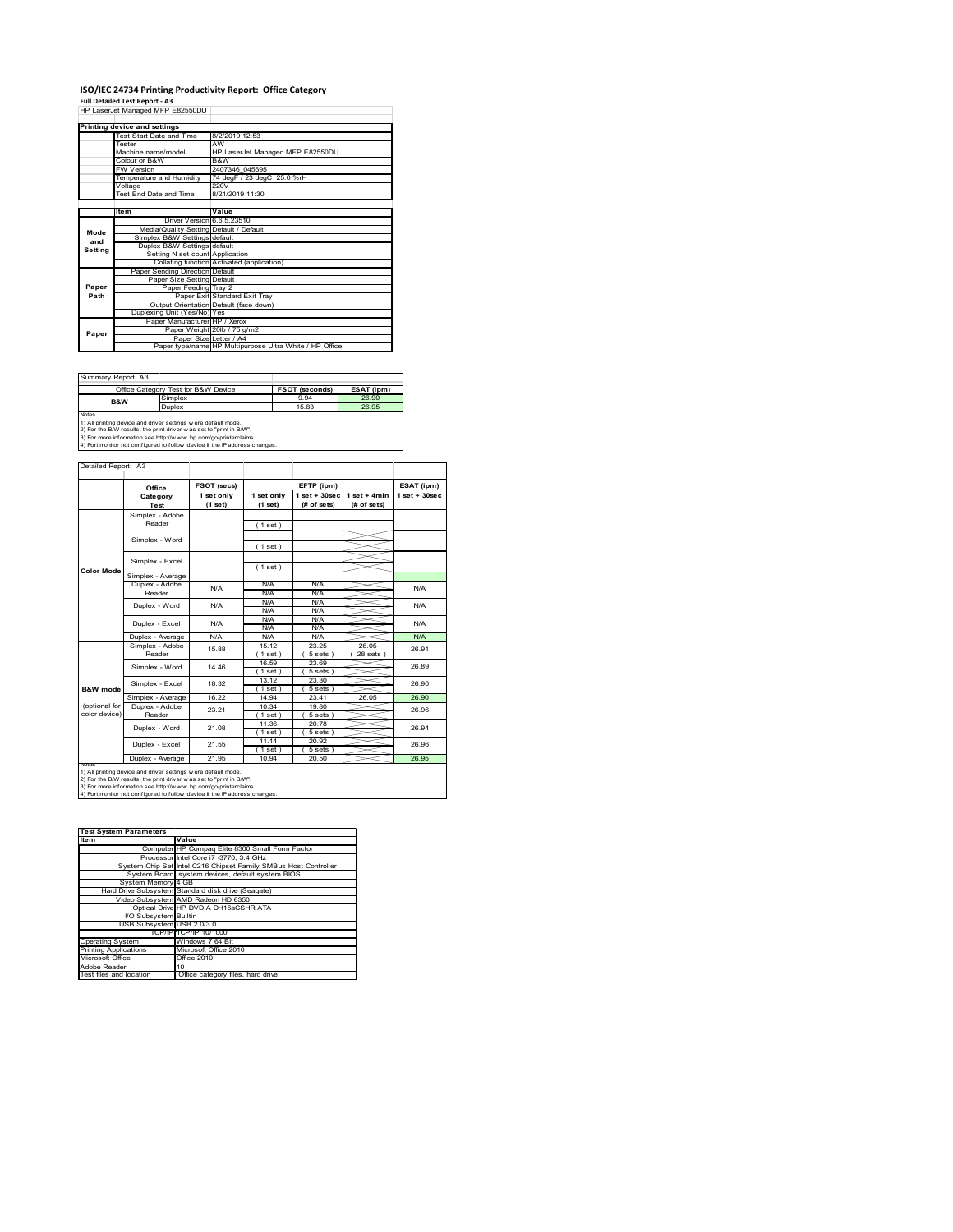# **ISO/IEC 24734 Printing Productivity Report: Office Category<br>Full Detailed Test Report - A3<br>HP LaserJet Managed MFP E82550DU |**

|         | nr Laseijet Mallayed Mrr Lozoobo        |                                                         |
|---------|-----------------------------------------|---------------------------------------------------------|
|         | Printing device and settings            |                                                         |
|         | Test Start Date and Time                | 8/2/2019 12:53                                          |
|         | Tester                                  | AW                                                      |
|         | Machine name/model                      | HP LaserJet Managed MFP E82550DU                        |
|         | Colour or B&W                           | B&W                                                     |
|         | <b>FW Version</b>                       | 2407346 045695                                          |
|         | Temperature and Humidity                | 74 degF / 23 degC 25.0 %rH                              |
|         | Voltage                                 | 220V                                                    |
|         | <b>Test End Date and Time</b>           | 8/21/2019 11:30                                         |
|         |                                         |                                                         |
|         | Item                                    | Value                                                   |
|         | Driver Version 6.6.5.23510              |                                                         |
|         | Media/Quality Setting Default / Default |                                                         |
| Mode    | Simplex B&W Settings default            |                                                         |
| and     | Duplex B&W Settings default             |                                                         |
| Setting | Setting N set count Application         |                                                         |
|         |                                         | Collating function Activated (application)              |
|         | Paper Sending Direction Default         |                                                         |
|         | Paper Size Setting Default              |                                                         |
| Paper   | Paper Feeding Tray 2                    |                                                         |
| Path    |                                         | Paper Exit Standard Exit Tray                           |
|         |                                         | Output Orientation Default (face down)                  |
|         | Duplexing Unit (Yes/No) Yes             |                                                         |
|         | Paper Manufacturer HP / Xerox           |                                                         |
|         |                                         | Paper Weight 20lb / 75 g/m2                             |
| Paper   | Paper Size Letter / A4                  |                                                         |
|         |                                         | Paper type/name HP Multipurpose Ultra White / HP Office |

Summary Report: A3

| IJUIIIIIIIIIII NOUUIL AJ |                                                                      |                       |            |
|--------------------------|----------------------------------------------------------------------|-----------------------|------------|
|                          | Office Category Test for B&W Device                                  | <b>FSOT (seconds)</b> | ESAT (ipm) |
| B&W                      | Simplex                                                              | 9.94                  | 26.90      |
|                          | Duplex                                                               | 15.83                 | 26.95      |
| <b>Notes</b>             |                                                                      |                       |            |
|                          | 1) All printing device and driver settings w ere default mode.       |                       |            |
|                          | [2) For the B/W results, the print driver was set to "print in B/W". |                       |            |

2) For the B/W results, the print driver w as set to "print in B/W".<br>3) For more information see http://w w w .hp.com/go/printerclaims.<br>4) Port monitor not configured to follow device if the IP address changes.

|                     | Office            | FSOT (secs)           |                       | EFTP (ipm)                        |                               | ESAT (ipm)      |
|---------------------|-------------------|-----------------------|-----------------------|-----------------------------------|-------------------------------|-----------------|
|                     | Category<br>Test  | 1 set only<br>(1 set) | 1 set only<br>(1 set) | $1$ set + $30$ sec<br>(# of sets) | $1$ set + 4min<br>(# of sets) | $1$ set + 30sec |
|                     | Simplex - Adobe   |                       |                       |                                   |                               |                 |
|                     | Reader            |                       | (1 set)               |                                   |                               |                 |
|                     |                   |                       |                       |                                   |                               |                 |
|                     | Simplex - Word    |                       | (1 set)               |                                   |                               |                 |
|                     |                   |                       |                       |                                   |                               |                 |
|                     | Simplex - Excel   |                       | (1 set)               |                                   |                               |                 |
| <b>Color Mode</b>   | Simplex - Average |                       |                       |                                   |                               |                 |
|                     | Duplex - Adobe    | N/A                   | N/A                   | N/A                               |                               | N/A             |
|                     | Reader            |                       | N/A                   | N/A                               |                               |                 |
|                     | Duplex - Word     | N/A                   | N/A                   | N/A                               |                               | N/A             |
|                     |                   |                       | N/A                   | N/A                               |                               |                 |
|                     | Duplex - Excel    | N/A                   | N/A                   | N/A                               |                               | N/A             |
|                     |                   |                       | N/A                   | N/A                               |                               |                 |
|                     | Duplex - Average  | N/A                   | N/A                   | N/A                               |                               | N/A             |
|                     | Simplex - Adobe   | 15.88                 | 15 12                 | 23 25                             | 26.05                         | 26.91           |
|                     | Reader            |                       | (1 set)               | 5 sets)                           | 28 sets                       |                 |
|                     | Simplex - Word    | 14 46                 | 16.59                 | 23.69                             |                               | 26.89           |
|                     |                   |                       | $1$ set $1$           | 5 sets                            |                               |                 |
|                     | Simplex - Excel   | 18.32                 | 13.12                 | 23.30                             |                               | 26.90           |
| <b>B&amp;W</b> mode |                   |                       | 1 set )               | 5 sets                            |                               |                 |
|                     | Simplex - Average | 16.22                 | 14.94                 | 23.41                             | 26.05                         | 26.90           |
| (optional for       | Duplex - Adobe    | 23.21                 | 10 34                 | 19.80                             |                               | 26.96           |
| color device)       | Reader            |                       | 1 set 1               | 5 sets 1                          |                               |                 |
|                     |                   | 21.08                 | 11.36                 | 20.78                             |                               | 26.94           |
|                     | Duplex - Word     |                       | $1$ set)              | 5 sets)                           |                               |                 |
|                     |                   | 21.55                 | 11.14                 | 20.92                             |                               | 26.96           |
|                     | Duplex - Excel    |                       | $1$ set)              | 5 sets)                           |                               |                 |
|                     | Duplex - Average  | 21.95                 | 10.94                 | 20.50                             |                               | 26.95           |

2) For the B/W results, the print driver w as set to "print in B/W".<br>3) For more information see http://w w w .hp.com/go/printerclaims.<br>4) Port monitor not configured to follow device if the IP address changes.

| <b>Test System Parameters</b> |                                                                 |
|-------------------------------|-----------------------------------------------------------------|
| <b>Item</b>                   | Value                                                           |
|                               | Computer HP Compaq Elite 8300 Small Form Factor                 |
|                               | Processor Intel Core i7 -3770, 3.4 GHz                          |
|                               | System Chip Set Intel C216 Chipset Family SMBus Host Controller |
|                               | System Board system devices, default system BIOS                |
| System Memory 4 GB            |                                                                 |
|                               | Hard Drive Subsystem Standard disk drive (Seagate)              |
|                               | Video Subsystem AMD Radeon HD 6350                              |
|                               | Optical Drive HP DVD A DH16aCSHR ATA                            |
| VO Subsystem Builtin          |                                                                 |
| USB Subsystem USB 2.0/3.0     |                                                                 |
|                               | TCP/IP TCP/IP 10/1000                                           |
| <b>Operating System</b>       | Windows 7 64 Bit                                                |
| <b>Printing Applications</b>  | Microsoft Office 2010                                           |
| Microsoft Office              | Office 2010                                                     |
| Adobe Reader                  | 10                                                              |
| Test files and location       | Office category files, hard drive                               |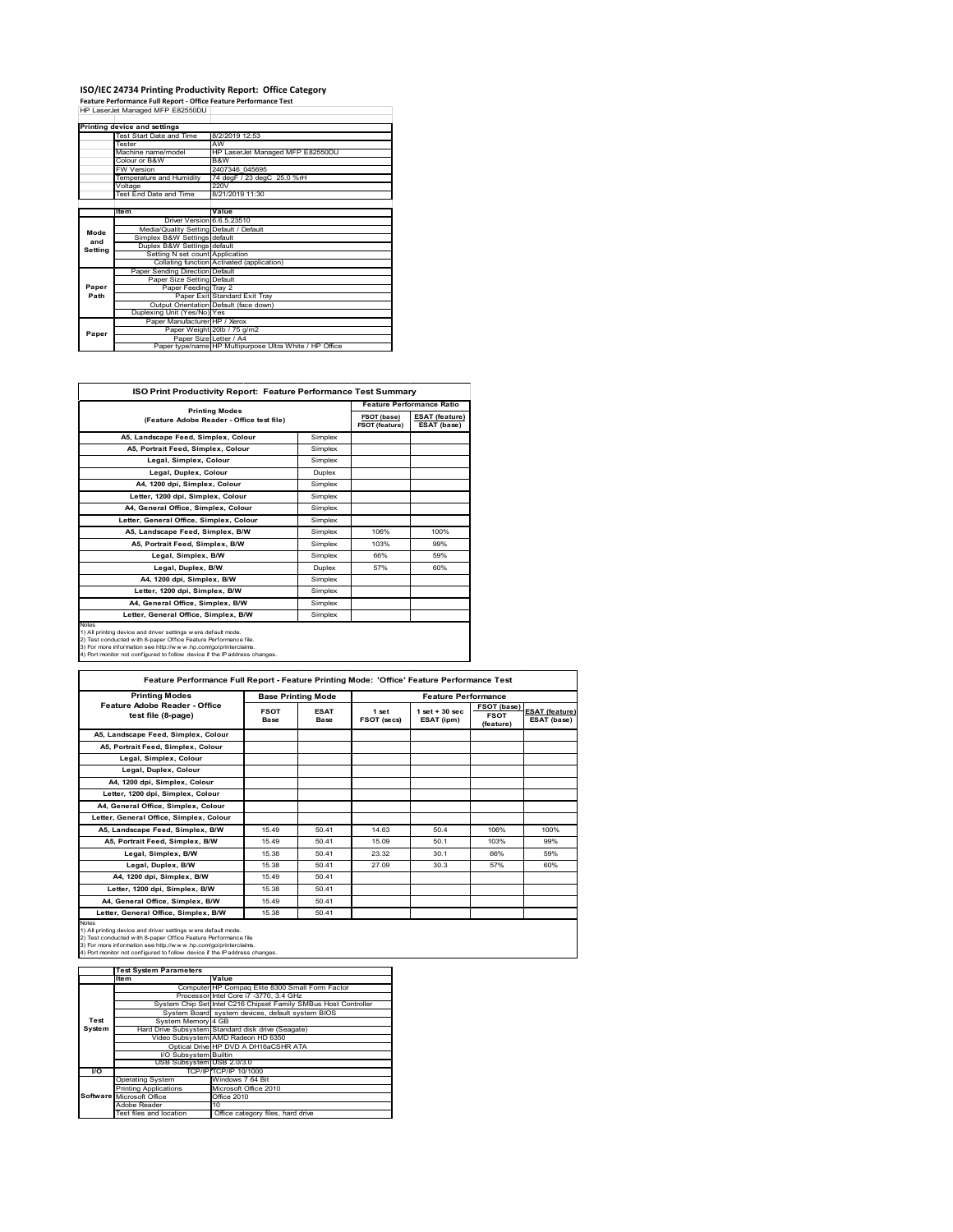## **ISO/IEC 24734 Printing Productivity Report: Office Category<br>Feature Performance Full Report - Office Feature Performance Test<br>HP LaserJet Managed MFP E82550DU |**

|         | Printing device and settings            |                                                         |
|---------|-----------------------------------------|---------------------------------------------------------|
|         | Test Start Date and Time                | 8/2/2019 12:53                                          |
|         | Tester                                  | AW                                                      |
|         | Machine name/model                      | HP LaserJet Managed MFP E82550DU                        |
|         | Colour or B&W                           | B&W                                                     |
|         | <b>FW Version</b>                       | 2407346 045695                                          |
|         | Temperature and Humidity                | 74 degF / 23 degC 25.0 %rH                              |
|         | Voltage                                 | 220V                                                    |
|         | Test End Date and Time                  | 8/21/2019 11:30                                         |
|         |                                         |                                                         |
|         | ltem                                    | Value                                                   |
|         | Driver Version 6.6.5.23510              |                                                         |
| Mode    | Media/Quality Setting Default / Default |                                                         |
| and     | Simplex B&W Settings default            |                                                         |
| Settina | Duplex B&W Settings default             |                                                         |
|         | Setting N set count Application         |                                                         |
|         |                                         | Collating function Activated (application)              |
|         | Paper Sending Direction Default         |                                                         |
|         | Paper Size Setting Default              |                                                         |
| Paper   | Paper Feeding Tray 2                    |                                                         |
| Path    |                                         | Paper Exit Standard Exit Trav                           |
|         |                                         | Output Orientation Default (face down)                  |
|         | Duplexing Unit (Yes/No) Yes             |                                                         |
|         | Paper Manufacturer HP / Xerox           |                                                         |
| Paper   |                                         | Paper Weight 20lb / 75 g/m2                             |
|         | Paper Size Letter / A4                  |                                                         |
|         |                                         | Paper type/name HP Multipurpose Ultra White / HP Office |

| <b>ISO Print Productivity Report: Feature Performance Test Summary</b>                                                                                                                                                                                                                      |                                                                    |      | <b>Feature Performance Ratio</b> |  |
|---------------------------------------------------------------------------------------------------------------------------------------------------------------------------------------------------------------------------------------------------------------------------------------------|--------------------------------------------------------------------|------|----------------------------------|--|
|                                                                                                                                                                                                                                                                                             | <b>Printing Modes</b><br>(Feature Adobe Reader - Office test file) |      |                                  |  |
|                                                                                                                                                                                                                                                                                             |                                                                    |      |                                  |  |
| A5, Landscape Feed, Simplex, Colour                                                                                                                                                                                                                                                         | Simplex                                                            |      |                                  |  |
| A5, Portrait Feed, Simplex, Colour                                                                                                                                                                                                                                                          | Simplex                                                            |      |                                  |  |
| Legal, Simplex, Colour                                                                                                                                                                                                                                                                      | Simplex                                                            |      |                                  |  |
| Legal, Duplex, Colour                                                                                                                                                                                                                                                                       | Duplex                                                             |      |                                  |  |
| A4, 1200 dpi, Simplex, Colour                                                                                                                                                                                                                                                               | Simplex                                                            |      |                                  |  |
| Letter, 1200 dpi, Simplex, Colour                                                                                                                                                                                                                                                           | Simplex                                                            |      |                                  |  |
| A4, General Office, Simplex, Colour                                                                                                                                                                                                                                                         | Simplex                                                            |      |                                  |  |
| Letter, General Office, Simplex, Colour                                                                                                                                                                                                                                                     | Simplex                                                            |      |                                  |  |
| A5, Landscape Feed, Simplex, B/W                                                                                                                                                                                                                                                            | Simplex                                                            | 106% | 100%                             |  |
| A5. Portrait Feed. Simplex. B/W                                                                                                                                                                                                                                                             | Simplex                                                            | 103% | 99%                              |  |
| Legal, Simplex, B/W                                                                                                                                                                                                                                                                         | Simplex                                                            | 66%  | 59%                              |  |
| Legal, Duplex, B/W                                                                                                                                                                                                                                                                          | Duplex                                                             | 57%  | 60%                              |  |
| A4, 1200 dpi, Simplex, B/W                                                                                                                                                                                                                                                                  | Simplex                                                            |      |                                  |  |
| Letter, 1200 dpi, Simplex, B/W                                                                                                                                                                                                                                                              | Simplex                                                            |      |                                  |  |
| A4, General Office, Simplex, B/W                                                                                                                                                                                                                                                            | Simplex                                                            |      |                                  |  |
| Letter, General Office, Simplex, B/W                                                                                                                                                                                                                                                        | Simplex                                                            |      |                                  |  |
| Notes<br>1) All printing device and driver settings w ere default mode.<br>2) Test conducted with 8-paper Office Feature Performance file.<br>3) For more information see http://www.hp.com/go/printerclaims.<br>4) Port monitor not configured to follow device if the IP address changes. |                                                                    |      |                                  |  |

| <b>Printing Modes</b>                               | <b>Base Printing Mode</b> |                     | <b>Feature Performance</b> |                                  |                                                |                                      |
|-----------------------------------------------------|---------------------------|---------------------|----------------------------|----------------------------------|------------------------------------------------|--------------------------------------|
| Feature Adobe Reader - Office<br>test file (8-page) | <b>FSOT</b><br>Base       | <b>ESAT</b><br>Base | 1 set<br>FSOT (secs)       | $1$ set $+30$ sec.<br>ESAT (ipm) | <b>FSOT (base)</b><br><b>FSOT</b><br>(feature) | <b>ESAT</b> (feature)<br>ESAT (base) |
| A5, Landscape Feed, Simplex, Colour                 |                           |                     |                            |                                  |                                                |                                      |
| A5, Portrait Feed, Simplex, Colour                  |                           |                     |                            |                                  |                                                |                                      |
| Legal, Simplex, Colour                              |                           |                     |                            |                                  |                                                |                                      |
| Legal, Duplex, Colour                               |                           |                     |                            |                                  |                                                |                                      |
| A4, 1200 dpi, Simplex, Colour                       |                           |                     |                            |                                  |                                                |                                      |
| Letter, 1200 dpi, Simplex, Colour                   |                           |                     |                            |                                  |                                                |                                      |
| A4, General Office, Simplex, Colour                 |                           |                     |                            |                                  |                                                |                                      |
| Letter, General Office, Simplex, Colour             |                           |                     |                            |                                  |                                                |                                      |
| A5. Landscape Feed. Simplex. B/W                    | 15.49                     | 50.41               | 14.63                      | 50.4                             | 106%                                           | 100%                                 |
| A5, Portrait Feed, Simplex, B/W                     | 15.49                     | 50.41               | 15.09                      | 50.1                             | 103%                                           | 99%                                  |
| Legal, Simplex, B/W                                 | 15.38                     | 50 41               | 23.32                      | 30.1                             | 66%                                            | 59%                                  |
| Legal, Duplex, B/W                                  | 15.38                     | 50 41               | 27.09                      | 30.3                             | 57%                                            | 60%                                  |
| A4, 1200 dpi, Simplex, B/W                          | 15.49                     | 50.41               |                            |                                  |                                                |                                      |
| Letter, 1200 dpi, Simplex, B/W                      | 15.38                     | 50.41               |                            |                                  |                                                |                                      |
| A4, General Office, Simplex, B/W                    | 1549                      | 50 41               |                            |                                  |                                                |                                      |
| Letter, General Office, Simplex, B/W                | 15.38                     | 50.41               |                            |                                  |                                                |                                      |

2) Test conducted w ith 8-paper Office Feature Performance file<br>3) For more information see http://w w w .hp.com/go/printerclaims.<br>4) Port monitor not configured to follow device if the IP address changes.

|               | <b>Test System Parameters</b> |                                                                 |
|---------------|-------------------------------|-----------------------------------------------------------------|
|               | Item                          | Value                                                           |
|               |                               | Computer HP Compaq Elite 8300 Small Form Factor                 |
|               |                               | Processor Intel Core i7 -3770, 3.4 GHz                          |
|               |                               | System Chip Set Intel C216 Chipset Family SMBus Host Controller |
|               |                               | System Board system devices, default system BIOS                |
| Test          | System Memory 4 GB            |                                                                 |
| <b>System</b> |                               | Hard Drive Subsystem Standard disk drive (Seagate)              |
|               |                               | Video Subsystem AMD Radeon HD 6350                              |
|               |                               | Optical Drive HP DVD A DH16aCSHR ATA                            |
|               | I/O Subsystem Builtin         |                                                                 |
|               | USB Subsystem USB 2.0/3.0     |                                                                 |
| VO.           |                               | TCP/IPITCP/IP 10/1000                                           |
|               | <b>Operating System</b>       | Windows 7 64 Bit                                                |
|               | <b>Printing Applications</b>  | Microsoft Office 2010                                           |
|               | Software Microsoft Office     | Office 2010                                                     |
|               | Adobe Reader                  | 10                                                              |
|               | Test files and location       | Office category files, hard drive                               |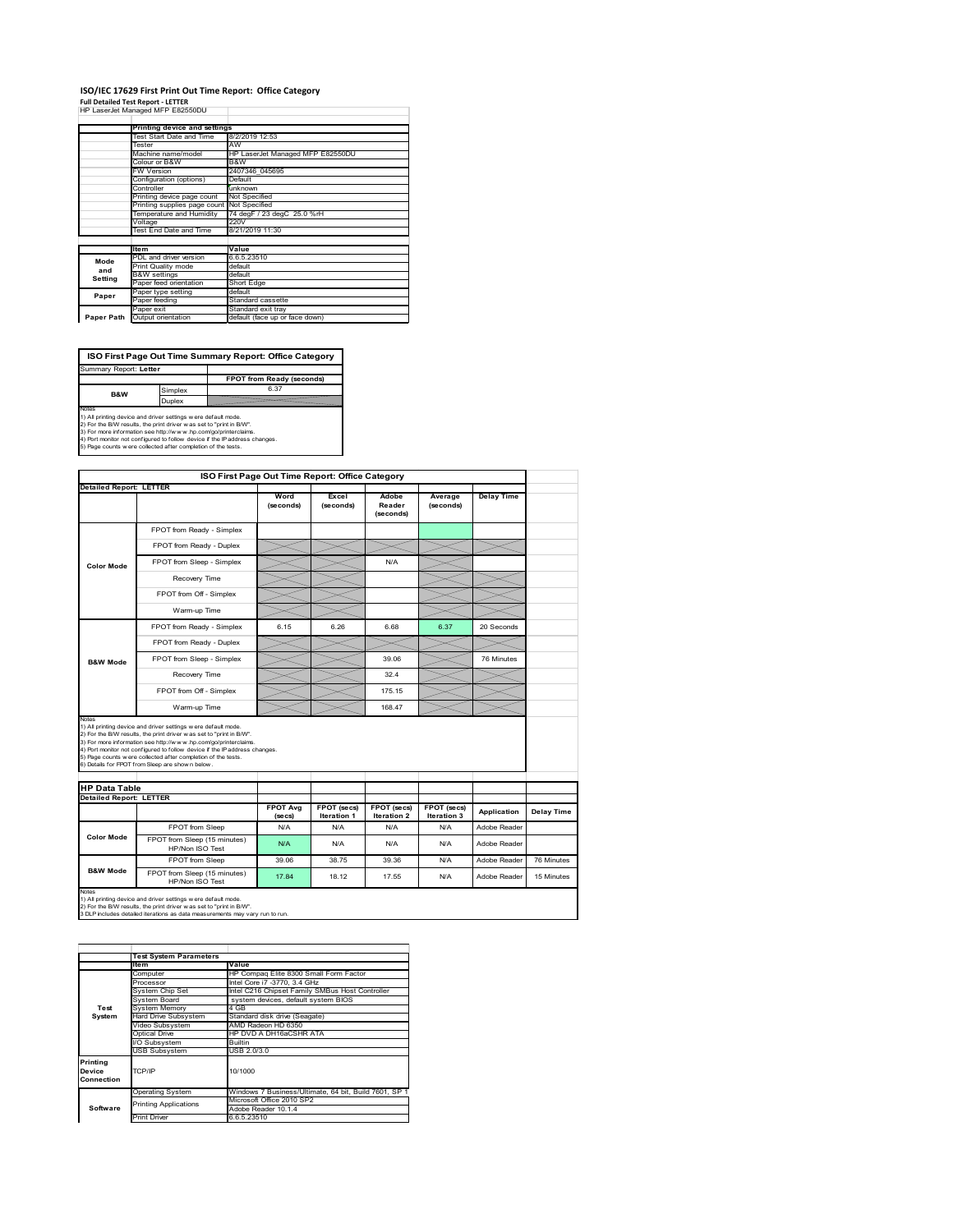### **ISO/IEC 17629 First Print Out Time Report: Office Category Full Detailed Test Report ‐ LETTER** HP LaserJet Managed MFP E82550DU

|            | III Lasciuctivianaged IVIII LUZUUDU |                                  |  |  |  |
|------------|-------------------------------------|----------------------------------|--|--|--|
|            | Printing device and settings        |                                  |  |  |  |
|            | Test Start Date and Time            | 8/2/2019 12:53                   |  |  |  |
|            | Tester                              | AW                               |  |  |  |
|            | Machine name/model                  | HP LaserJet Managed MFP E82550DU |  |  |  |
|            | Colour or B&W                       | B&W                              |  |  |  |
|            | <b>FW Version</b>                   | 2407346 045695                   |  |  |  |
|            | Configuration (options)             | Default                          |  |  |  |
|            | Controller                          | unknown                          |  |  |  |
|            | Printing device page count          | Not Specified                    |  |  |  |
|            | Printing supplies page count        | Not Specified                    |  |  |  |
|            | Temperature and Humidity            | 74 degF / 23 degC 25.0 %rH       |  |  |  |
|            | Voltage                             | 220V                             |  |  |  |
|            | Test End Date and Time              | 8/21/2019 11:30                  |  |  |  |
|            |                                     |                                  |  |  |  |
|            | <b>Item</b>                         | Value                            |  |  |  |
| Mode       | PDL and driver version              | 6.6.5.23510                      |  |  |  |
| and        | Print Quality mode                  | default                          |  |  |  |
| Setting    | <b>B&amp;W</b> settings             | default                          |  |  |  |
|            | Paper feed orientation              | Short Edge                       |  |  |  |
| Paper      | Paper type setting                  | default                          |  |  |  |
|            | Paper feeding                       | Standard cassette                |  |  |  |
|            | Paper exit                          | Standard exit tray               |  |  |  |
| Paper Path | Output orientation                  | default (face up or face down)   |  |  |  |

**FPOT from Ready (seconds)** Simplex **ISO First Page Out Time Summary Report: Office Category** rt: **Letter B&W**

**Duplex**<br>Notes<br>1) All printing device and driver settings were default mode.<br>2) For the BM results, the print driver was set to "print in BM".<br>4) For more information see http://www.hp.com/golprinterclaims.<br>4) Port monitor

|                                                                 |                                                                                                                                                                                                                                                                                                                                                                                                             | ISO First Page Out Time Report: Office Category |                                   |                                   |                            |                   |            |
|-----------------------------------------------------------------|-------------------------------------------------------------------------------------------------------------------------------------------------------------------------------------------------------------------------------------------------------------------------------------------------------------------------------------------------------------------------------------------------------------|-------------------------------------------------|-----------------------------------|-----------------------------------|----------------------------|-------------------|------------|
| <b>Detailed Report: LETTER</b>                                  |                                                                                                                                                                                                                                                                                                                                                                                                             | Word<br>(seconds)                               | Excel<br>(seconds)                | Adobe<br>Reader<br>(seconds)      | Average<br>(seconds)       | <b>Delay Time</b> |            |
|                                                                 | FPOT from Ready - Simplex                                                                                                                                                                                                                                                                                                                                                                                   |                                                 |                                   |                                   |                            |                   |            |
|                                                                 | FPOT from Ready - Duplex                                                                                                                                                                                                                                                                                                                                                                                    |                                                 |                                   |                                   |                            |                   |            |
| <b>Color Mode</b>                                               | FPOT from Sleep - Simplex                                                                                                                                                                                                                                                                                                                                                                                   |                                                 |                                   | N/A                               |                            |                   |            |
|                                                                 | Recovery Time                                                                                                                                                                                                                                                                                                                                                                                               |                                                 |                                   |                                   |                            |                   |            |
|                                                                 | FPOT from Off - Simplex                                                                                                                                                                                                                                                                                                                                                                                     |                                                 |                                   |                                   |                            |                   |            |
|                                                                 | Warm-up Time                                                                                                                                                                                                                                                                                                                                                                                                |                                                 |                                   |                                   |                            |                   |            |
|                                                                 | FPOT from Ready - Simplex                                                                                                                                                                                                                                                                                                                                                                                   | 6.15                                            | 6.26                              | 6.68                              | 6.37                       | 20 Seconds        |            |
|                                                                 | FPOT from Ready - Duplex                                                                                                                                                                                                                                                                                                                                                                                    |                                                 |                                   |                                   |                            |                   |            |
| <b>B&amp;W Mode</b>                                             | FPOT from Sleep - Simplex                                                                                                                                                                                                                                                                                                                                                                                   |                                                 |                                   | 39.06                             |                            | 76 Minutes        |            |
|                                                                 | Recovery Time                                                                                                                                                                                                                                                                                                                                                                                               |                                                 |                                   | 324                               |                            |                   |            |
|                                                                 |                                                                                                                                                                                                                                                                                                                                                                                                             |                                                 |                                   |                                   |                            |                   |            |
|                                                                 | FPOT from Off - Simplex                                                                                                                                                                                                                                                                                                                                                                                     |                                                 |                                   | 175 15                            |                            |                   |            |
|                                                                 | Warm-up Time                                                                                                                                                                                                                                                                                                                                                                                                |                                                 |                                   | 168.47                            |                            |                   |            |
| Notes<br><b>HP Data Table</b><br><b>Detailed Report: LETTER</b> | 1) All printing device and driver settings w ere default mode.<br>2) For the B/W results, the print driver was set to "print in B/W".<br>3) For more information see http://www.hp.com/go/printerclaims.<br>4) Port monitor not configured to follow device if the IP address changes.<br>5) Page counts w ere collected after completion of the tests.<br>6) Details for FPOT from Sleep are show n below. |                                                 |                                   |                                   |                            |                   |            |
|                                                                 |                                                                                                                                                                                                                                                                                                                                                                                                             | <b>FPOT Avg</b><br>(se cs)                      | FPOT (secs)<br><b>Iteration 1</b> | FPOT (secs)<br><b>Iteration 2</b> | FPOT (secs)<br>Iteration 3 | Application       | Delay Time |
| Color Mode                                                      | FPOT from Sleep                                                                                                                                                                                                                                                                                                                                                                                             | N/A                                             | N/A                               | N/A                               | N/A                        | Adobe Reader      |            |
|                                                                 | FPOT from Sleep (15 minutes)<br>HP/Non ISO Test                                                                                                                                                                                                                                                                                                                                                             | N/A                                             | N/A                               | N/A                               | N/A                        | Adobe Reader      |            |
| <b>B&amp;W Mode</b>                                             | FPOT from Sleep                                                                                                                                                                                                                                                                                                                                                                                             | 39.06                                           | 38.75                             | 39.36                             | N/A                        | Adobe Reader      | 76 Minutes |

1tem Value<br>Computer HP Compaq Elite 8300 Small Form Factor<br>Processor Intel Core in -3770, 3.4 GHz<br>System Chip Set Intel C216 Chipset Family SMBus Host Controller<br>System Board system devices, default system BIOS <del>Fostem Chip Set</del><br>System Board<br>System Memory<br>Hard Drive Subsystem<br>Hideo Subsystem Hard Drive Subsystem Standard disk drive (Seagate) Video Subsystem AMD Radeon HD 6350 Optical Drive HP DVD A DH16aCSHR ATA Subsystem Builtin USB Subsystem USB 2.0/3.0 Operating System Windows 7 Business/Ultimate, 64 bit, Build 7601, SP 1 Microsoft Office 2010 SP2 Adobe Reader 10.1.4 Print Driver 6.6.5.23510 **Test System Software Test System Para Printing Device Connection** TCP/IP 10/1000 inting Applications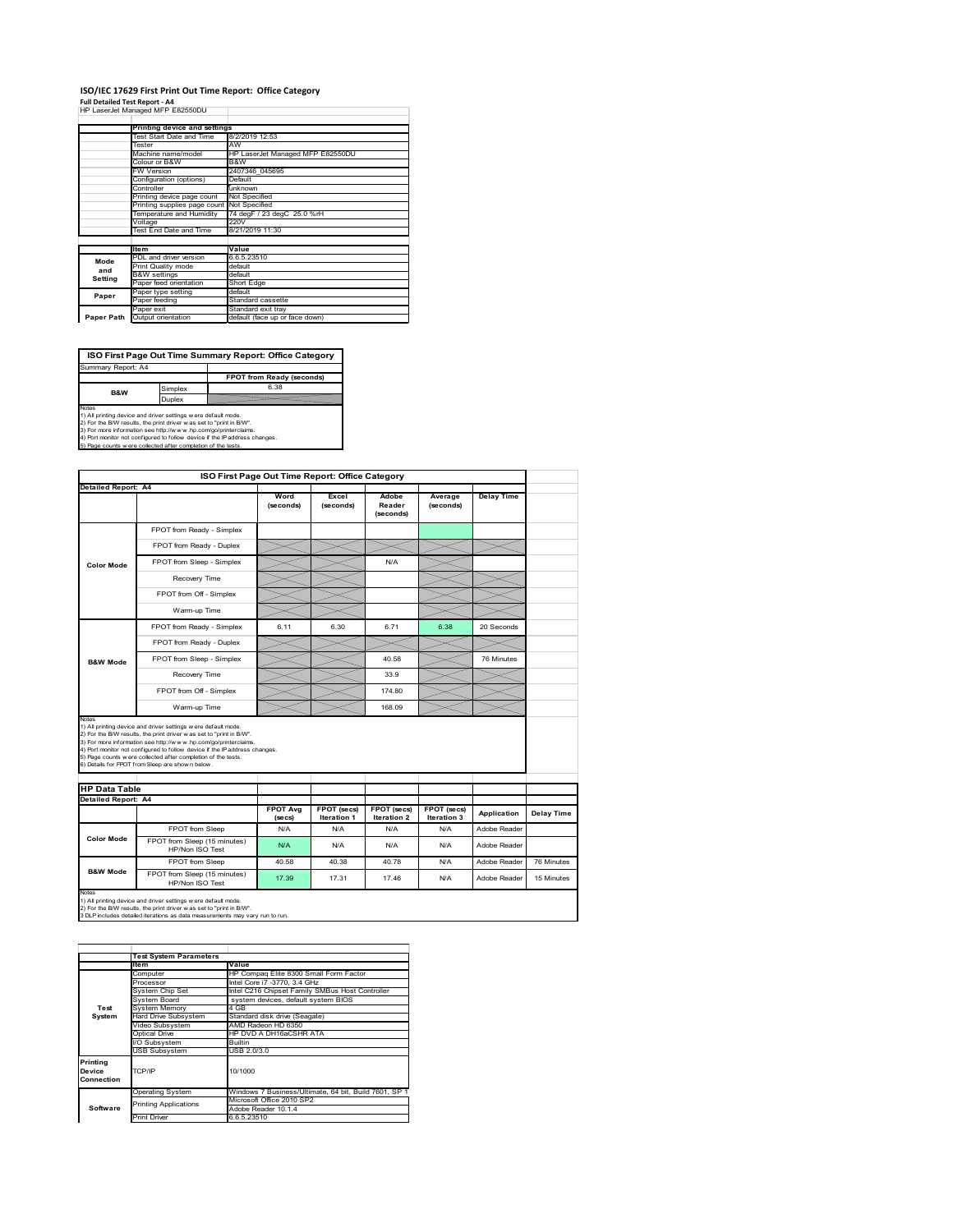#### **ISO/IEC 17629 First Print Out Time Report: Office Category**  $\overline{1}$

| Full Detailed Test Report - A4   |  |
|----------------------------------|--|
| HP LaserJet Managed MFP E82550DU |  |

|            | Printing device and settings    |                                  |  |  |  |
|------------|---------------------------------|----------------------------------|--|--|--|
|            | <b>Test Start Date and Time</b> | 8/2/2019 12:53                   |  |  |  |
|            | Tester                          | AW                               |  |  |  |
|            | Machine name/model              | HP LaserJet Managed MFP E82550DU |  |  |  |
|            | Colour or B&W                   | B&W                              |  |  |  |
|            | FW Version                      | 2407346 045695                   |  |  |  |
|            | Configuration (options)         | Default                          |  |  |  |
|            | Controller                      | unknown                          |  |  |  |
|            | Printing device page count      | Not Specified                    |  |  |  |
|            | Printing supplies page count    | Not Specified                    |  |  |  |
|            | Temperature and Humidity        | 74 degF / 23 degC 25.0 %rH       |  |  |  |
|            | Voltage                         | 220V                             |  |  |  |
|            | Test End Date and Time          | 8/21/2019 11:30                  |  |  |  |
|            |                                 |                                  |  |  |  |
|            | <b>Item</b>                     | Value                            |  |  |  |
| Mode       | PDL and driver version          | 6.6.5.23510                      |  |  |  |
| and        | Print Quality mode              | default                          |  |  |  |
| Setting    | <b>B&amp;W</b> settings         | default                          |  |  |  |
|            | Paper feed orientation          | Short Edge                       |  |  |  |
| Paper      | Paper type setting              | default                          |  |  |  |
|            | Paper feeding                   | Standard cassette                |  |  |  |
|            | Paper exit                      | Standard exit tray               |  |  |  |
| Paper Path | Output orientation              | default (face up or face down)   |  |  |  |

**ISO First Page Out Time Summary Report: Office Category**

**FPOT from Ready (seconds)** Simplex 6.38 Duplex Notes<br>1) All printing device and driver settings were default mode.<br>2) For the BAV results, the print driver was set to "print in BAV".<br>3) For more information see http://www.hp.com/golprinterclaims.<br>4) Port monitor not co Summary Report: A4 **B&W**

|                                             | ISO First Page Out Time Report: Office Category                                                                                                                                                                                                                                                                                                                                                             |                   |                    |                              |                      |                   |            |
|---------------------------------------------|-------------------------------------------------------------------------------------------------------------------------------------------------------------------------------------------------------------------------------------------------------------------------------------------------------------------------------------------------------------------------------------------------------------|-------------------|--------------------|------------------------------|----------------------|-------------------|------------|
| <b>Detailed Report: A4</b>                  |                                                                                                                                                                                                                                                                                                                                                                                                             | Word<br>(seconds) | Excel<br>(seconds) | Adobe<br>Reader<br>(seconds) | Average<br>(seconds) | <b>Delay Time</b> |            |
|                                             | FPOT from Ready - Simplex                                                                                                                                                                                                                                                                                                                                                                                   |                   |                    |                              |                      |                   |            |
|                                             | FPOT from Ready - Duplex                                                                                                                                                                                                                                                                                                                                                                                    |                   |                    |                              |                      |                   |            |
| <b>Color Mode</b>                           | FPOT from Sleep - Simplex                                                                                                                                                                                                                                                                                                                                                                                   |                   |                    | N/A                          |                      |                   |            |
|                                             | Recovery Time                                                                                                                                                                                                                                                                                                                                                                                               |                   |                    |                              |                      |                   |            |
|                                             | FPOT from Off - Simplex                                                                                                                                                                                                                                                                                                                                                                                     |                   |                    |                              |                      |                   |            |
|                                             | Warm-up Time                                                                                                                                                                                                                                                                                                                                                                                                |                   |                    |                              |                      |                   |            |
|                                             | FPOT from Ready - Simplex                                                                                                                                                                                                                                                                                                                                                                                   | 6.11              | 6.30               | 6.71                         | 6.38                 | 20 Seconds        |            |
|                                             | FPOT from Ready - Duplex                                                                                                                                                                                                                                                                                                                                                                                    |                   |                    |                              |                      |                   |            |
| <b>B&amp;W Mode</b>                         | FPOT from Sleep - Simplex                                                                                                                                                                                                                                                                                                                                                                                   |                   |                    | 40.58                        |                      | 76 Minutes        |            |
|                                             | Recovery Time                                                                                                                                                                                                                                                                                                                                                                                               |                   |                    | 33.9                         |                      |                   |            |
|                                             | FPOT from Off - Simplex                                                                                                                                                                                                                                                                                                                                                                                     |                   |                    | 174 80                       |                      |                   |            |
|                                             | Warm-up Time                                                                                                                                                                                                                                                                                                                                                                                                |                   |                    | 168.09                       |                      |                   |            |
| <b>HP Data Table</b><br>Detailed Report: A4 | 1) All printing device and driver settings w ere default mode.<br>2) For the B/W results, the print driver was set to "print in B/W".<br>3) For more information see http://www.hp.com/go/printerclaims.<br>4) Port monitor not configured to follow device if the IP address changes.<br>5) Page counts w ere collected after completion of the tests.<br>6) Details for FPOT from Sleep are show n below. | <b>FPOT Avg</b>   | FPOT (secs)        | FPOT (secs)                  | FPOT (secs)          | Application       | Delay Time |
|                                             |                                                                                                                                                                                                                                                                                                                                                                                                             | (se cs)           | Iteration 1        | Iteration 2                  | Iteration 3          |                   |            |
|                                             |                                                                                                                                                                                                                                                                                                                                                                                                             | N/A               | N/A                | N/A                          | N/A                  | Adobe Reader      |            |
| <b>Color Mode</b>                           | FPOT from Sleep                                                                                                                                                                                                                                                                                                                                                                                             |                   |                    |                              |                      |                   |            |
|                                             | FPOT from Sleep (15 minutes)<br>HP/Non ISO Test                                                                                                                                                                                                                                                                                                                                                             | N/A               | N/A                | N/A                          | N/A                  | Adobe Reader      |            |
| <b>B&amp;W Mode</b>                         | FPOT from Sleep                                                                                                                                                                                                                                                                                                                                                                                             | 40.58             | 40.38              | 40.78                        | N/A                  | Adobe Reader      | 76 Minutes |

|            | <b>Test System Parameters</b> |                                                       |  |  |
|------------|-------------------------------|-------------------------------------------------------|--|--|
|            | <b>Item</b>                   | Value                                                 |  |  |
|            | Computer                      | HP Compag Elite 8300 Small Form Factor                |  |  |
|            | Processor                     | Intel Core i7 -3770, 3.4 GHz                          |  |  |
|            | System Chip Set               | Intel C216 Chipset Family SMBus Host Controller       |  |  |
|            | System Board                  | system devices, default system BIOS                   |  |  |
| Test       | <b>System Memory</b>          | 4 GB                                                  |  |  |
| System     | Hard Drive Subsystem          | Standard disk drive (Seagate)                         |  |  |
|            | Video Subsystem               | AMD Radeon HD 6350                                    |  |  |
|            | Optical Drive                 | HP DVD A DH16aCSHR ATA                                |  |  |
|            | VO Subsystem                  | <b>Builtin</b>                                        |  |  |
|            | <b>USB Subsystem</b>          | USB 2.0/3.0                                           |  |  |
| Printing   |                               |                                                       |  |  |
| Device     | TCP/IP                        | 10/1000                                               |  |  |
| Connection |                               |                                                       |  |  |
|            |                               | Windows 7 Business/Ultimate, 64 bit, Build 7601, SP 1 |  |  |
|            | <b>Operating System</b>       |                                                       |  |  |
|            | <b>Printing Applications</b>  | Microsoft Office 2010 SP2                             |  |  |
| Software   |                               | Adobe Reader 10.1.4                                   |  |  |
|            | <b>Print Driver</b>           | 6.6.5.23510                                           |  |  |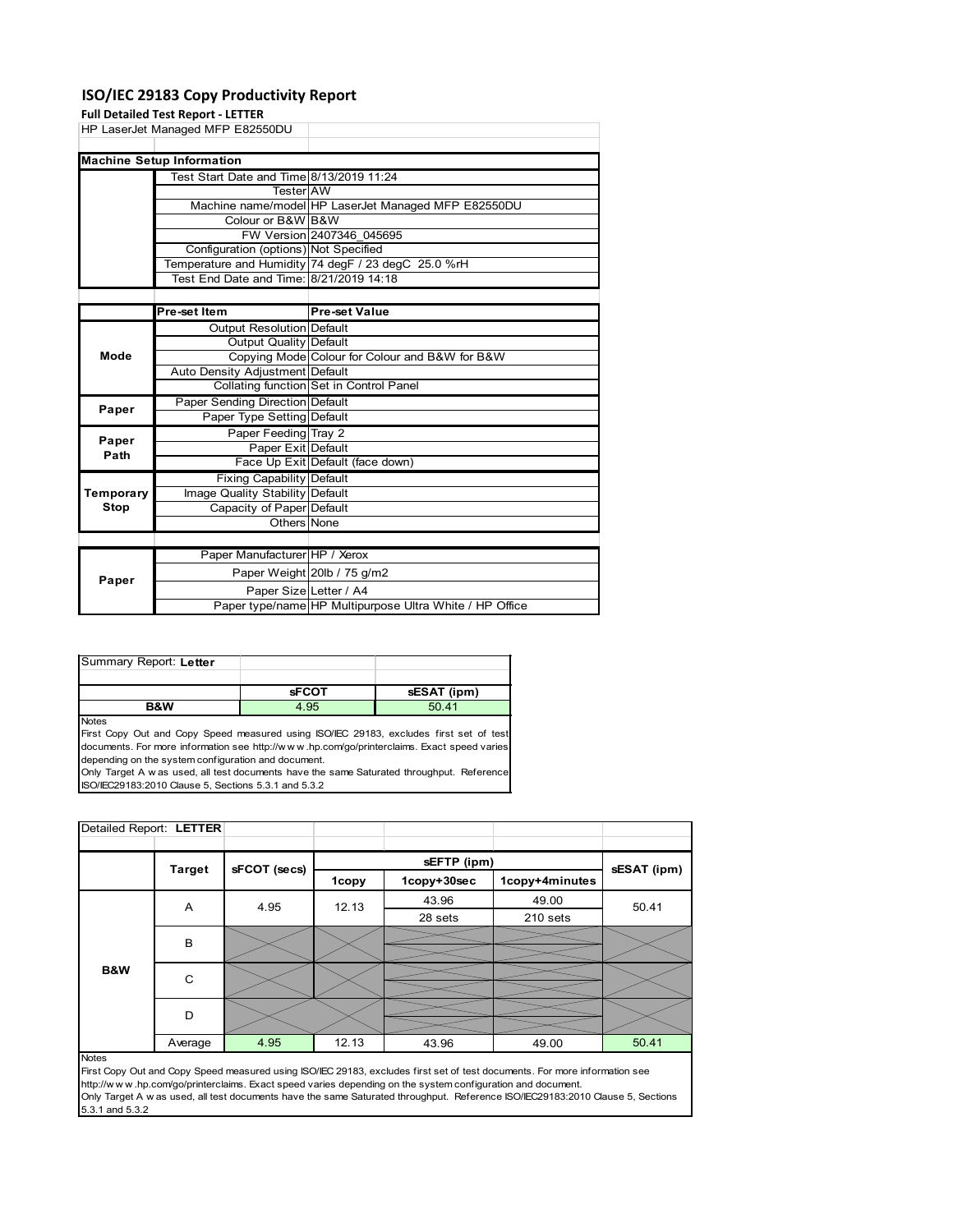### **ISO/IEC 29183 Copy Productivity Report**

### **Full Detailed Test Report ‐ LETTER**

|       | HP LaserJet Managed MFP E82550DU         |                                                     |  |  |
|-------|------------------------------------------|-----------------------------------------------------|--|--|
|       |                                          |                                                     |  |  |
|       | <b>Machine Setup Information</b>         |                                                     |  |  |
|       | Test Start Date and Time 8/13/2019 11:24 |                                                     |  |  |
|       | Tester <b>I</b> AW                       |                                                     |  |  |
|       |                                          | Machine name/model HP LaserJet Managed MFP E82550DU |  |  |
|       | Colour or B&W B&W                        |                                                     |  |  |
|       |                                          | FW Version 2407346 045695                           |  |  |
|       | Configuration (options) Not Specified    |                                                     |  |  |
|       |                                          | Temperature and Humidity 74 degF / 23 degC 25.0 %rH |  |  |
|       | Test End Date and Time: 8/21/2019 14:18  |                                                     |  |  |
|       |                                          |                                                     |  |  |
|       | Pre-set Item                             | <b>Pre-set Value</b>                                |  |  |
|       | <b>Output Resolution Default</b>         |                                                     |  |  |
|       | Output Quality Default                   |                                                     |  |  |
| Mode  |                                          | Copying Mode Colour for Colour and B&W for B&W      |  |  |
|       | Auto Density Adjustment Default          |                                                     |  |  |
|       |                                          | Collating function Set in Control Panel             |  |  |
| Paper | Paper Sending Direction Default          |                                                     |  |  |
|       | Paper Type Setting Default               |                                                     |  |  |
| Paper | Paper Feeding Tray 2                     |                                                     |  |  |
|       | Paper Exit Default                       |                                                     |  |  |

| raper<br>Path    | Paper Exit Default               |                                                         |
|------------------|----------------------------------|---------------------------------------------------------|
|                  |                                  | Face Up Exit Default (face down)                        |
|                  | <b>Fixing Capability Default</b> |                                                         |
| <b>Temporary</b> | Image Quality Stability Default  |                                                         |
| Stop             | Capacity of Paper Default        |                                                         |
|                  | Others None                      |                                                         |
|                  |                                  |                                                         |
|                  | Paper Manufacturer HP / Xerox    |                                                         |
| Paper            |                                  | Paper Weight 20lb / 75 g/m2                             |
|                  | Paper Size Letter / A4           |                                                         |
|                  |                                  | Paper type/name HP Multipurpose Ultra White / HP Office |

| Summary Report: Letter |              |             |
|------------------------|--------------|-------------|
|                        |              |             |
|                        | <b>sFCOT</b> | sESAT (ipm) |
| <b>B&amp;W</b>         | 4.95         | 50.41       |
| <b>Notes</b>           |              |             |

First Copy Out and Copy Speed measured using ISO/IEC 29183, excludes first set of test documents. For more information see http://w w w .hp.com/go/printerclaims. Exact speed varies depending on the system configuration and document.

Only Target A w as used, all test documents have the same Saturated throughput. Reference ISO/IEC29183:2010 Clause 5, Sections 5.3.1 and 5.3.2

| Detailed Report: LETTER |               |              |       |             |                |             |  |
|-------------------------|---------------|--------------|-------|-------------|----------------|-------------|--|
|                         |               |              |       | sEFTP (ipm) |                |             |  |
|                         | <b>Target</b> | sFCOT (secs) | 1copy | 1copy+30sec | 1copy+4minutes | sESAT (ipm) |  |
|                         | A             | 4.95         | 12.13 | 43.96       | 49.00          | 50.41       |  |
|                         |               |              |       | 28 sets     | 210 sets       |             |  |
|                         | B             |              |       |             |                |             |  |
|                         |               |              |       |             |                |             |  |
| <b>B&amp;W</b>          | $\mathsf{C}$  |              |       |             |                |             |  |
|                         |               |              |       |             |                |             |  |
|                         | D             |              |       |             |                |             |  |
|                         |               |              |       |             |                |             |  |
| $\overline{a}$          | Average       | 4.95         | 12.13 | 43.96       | 49.00          | 50.41       |  |

#### Notes

First Copy Out and Copy Speed measured using ISO/IEC 29183, excludes first set of test documents. For more information see http://w w w .hp.com/go/printerclaims. Exact speed varies depending on the system configuration and document. Only Target A w as used, all test documents have the same Saturated throughput. Reference ISO/IEC29183:2010 Clause 5, Sections 5.3.1 and 5.3.2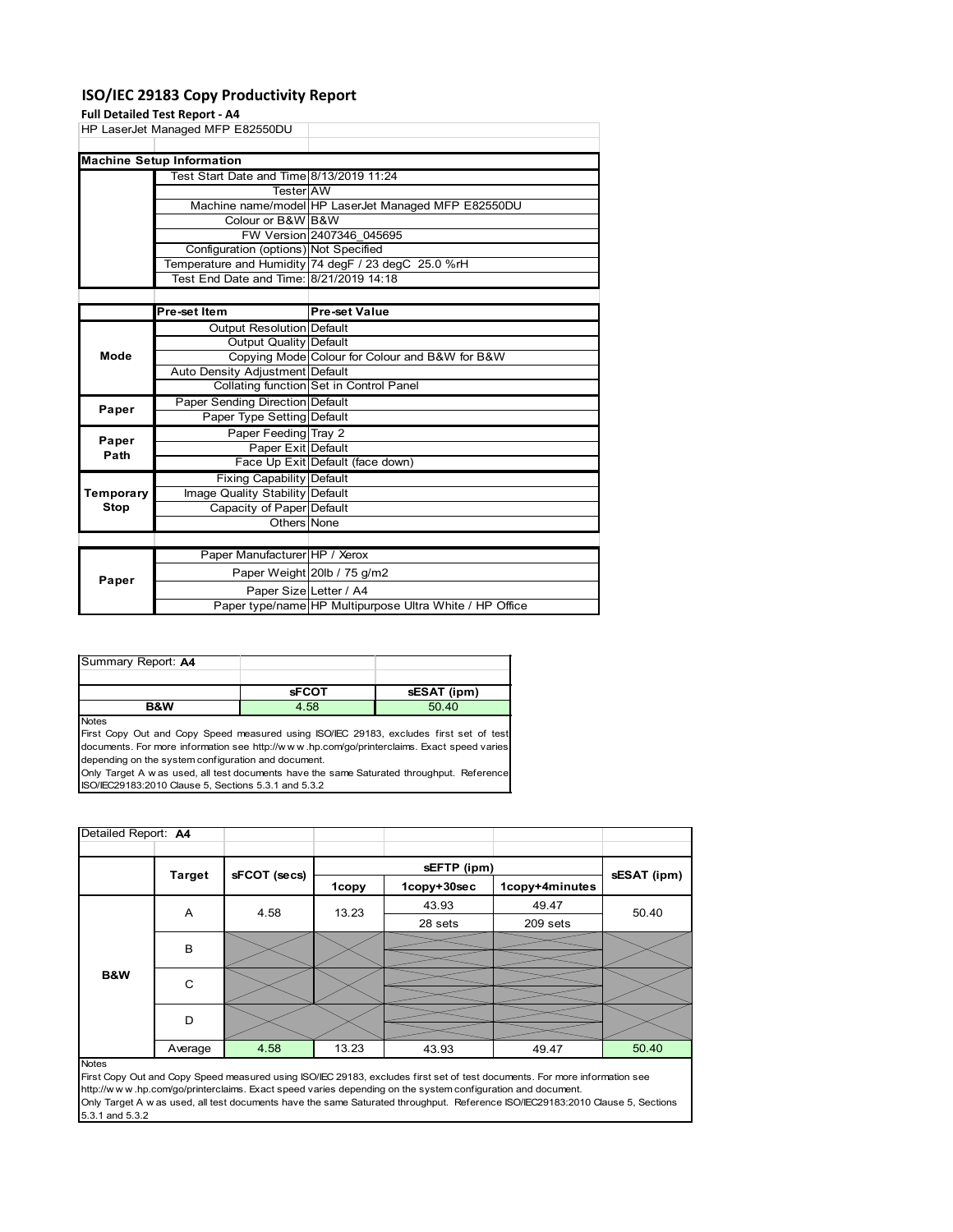### **ISO/IEC 29183 Copy Productivity Report**

### **Full Detailed Test Report ‐ A4**

|      | HP LaserJet Managed MFP E82550DU         |                                                     |  |  |
|------|------------------------------------------|-----------------------------------------------------|--|--|
|      | <b>Machine Setup Information</b>         |                                                     |  |  |
|      | Test Start Date and Time 8/13/2019 11:24 |                                                     |  |  |
|      | <b>Tester</b> AW                         |                                                     |  |  |
|      |                                          | Machine name/model HP LaserJet Managed MFP E82550DU |  |  |
|      | Colour or B&W B&W                        |                                                     |  |  |
|      |                                          | FW Version 2407346 045695                           |  |  |
|      | Configuration (options) Not Specified    |                                                     |  |  |
|      |                                          | Temperature and Humidity 74 degF / 23 degC 25.0 %rH |  |  |
|      | Test End Date and Time: 8/21/2019 14:18  |                                                     |  |  |
|      |                                          |                                                     |  |  |
|      | <b>Pre-set Item</b>                      | <b>Pre-set Value</b>                                |  |  |
|      | <b>Output Resolution Default</b>         |                                                     |  |  |
|      | <b>Output Quality Default</b>            |                                                     |  |  |
| Mode |                                          | Copying Mode Colour for Colour and B&W for B&W      |  |  |
|      |                                          |                                                     |  |  |

|           | Auto Density Adjustment Default  |                                                         |
|-----------|----------------------------------|---------------------------------------------------------|
|           |                                  | Collating function Set in Control Panel                 |
| Paper     | Paper Sending Direction Default  |                                                         |
|           | Paper Type Setting Default       |                                                         |
| Paper     | Paper Feeding Tray 2             |                                                         |
| Path      | Paper Exit Default               |                                                         |
|           |                                  | Face Up Exit Default (face down)                        |
|           | <b>Fixing Capability Default</b> |                                                         |
| Temporary | Image Quality Stability Default  |                                                         |
| Stop      | Capacity of Paper Default        |                                                         |
|           | Others None                      |                                                         |
|           |                                  |                                                         |
|           | Paper Manufacturer HP / Xerox    |                                                         |
| Paper     |                                  | Paper Weight 20lb / 75 g/m2                             |
|           | Paper Size Letter / A4           |                                                         |
|           |                                  | Paper type/name HP Multipurpose Ultra White / HP Office |

| <b>B&amp;W</b>     | 4.58         | 50.40       |
|--------------------|--------------|-------------|
|                    | <b>SFCOT</b> | sESAT (ipm) |
|                    |              |             |
| Summary Report: A4 |              |             |

Notes First Copy Out and Copy Speed measured using ISO/IEC 29183, excludes first set of test documents. For more information see http://w w w .hp.com/go/printerclaims. Exact speed varies depending on the system configuration and document.

Only Target A w as used, all test documents have the same Saturated throughput. Reference ISO/IEC29183:2010 Clause 5, Sections 5.3.1 and 5.3.2

| Detailed Report: A4 |               |              |       |             |                |             |  |
|---------------------|---------------|--------------|-------|-------------|----------------|-------------|--|
|                     |               |              |       | sEFTP (ipm) |                |             |  |
|                     | <b>Target</b> | sFCOT (secs) | 1copy | 1copy+30sec | 1copy+4minutes | sESAT (ipm) |  |
|                     | A             | 4.58         | 13.23 | 43.93       | 49.47          | 50.40       |  |
|                     |               |              |       | 28 sets     | 209 sets       |             |  |
|                     | B             |              |       |             |                |             |  |
|                     |               |              |       |             |                |             |  |
| <b>B&amp;W</b>      |               | C            |       |             |                |             |  |
|                     |               |              |       |             |                |             |  |
|                     | D             |              |       |             |                |             |  |
|                     |               |              |       |             |                |             |  |
|                     | Average       | 4.58         | 13.23 | 43.93       | 49.47          | 50.40       |  |
| <b>Notes</b>        |               |              |       |             |                |             |  |

First Copy Out and Copy Speed measured using ISO/IEC 29183, excludes first set of test documents. For more information see http://w w w .hp.com/go/printerclaims. Exact speed varies depending on the system configuration and document. Only Target A w as used, all test documents have the same Saturated throughput. Reference ISO/IEC29183:2010 Clause 5, Sections 5.3.1 and 5.3.2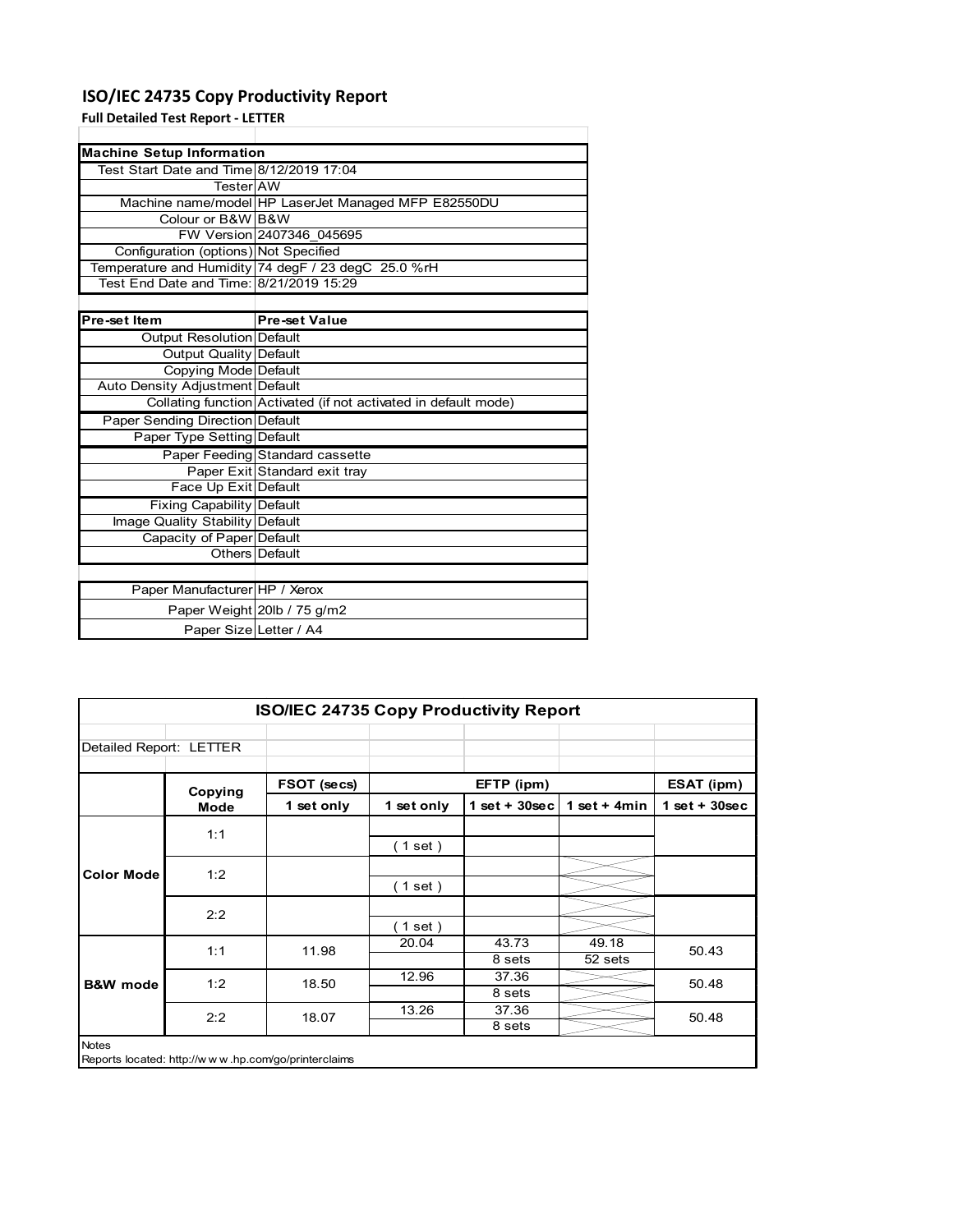## **ISO/IEC 24735 Copy Productivity Report**

**Full Detailed Test Report ‐ LETTER**

| <b>Machine Setup Information</b>         |                                                                 |  |  |  |  |  |  |
|------------------------------------------|-----------------------------------------------------------------|--|--|--|--|--|--|
| Test Start Date and Time 8/12/2019 17:04 |                                                                 |  |  |  |  |  |  |
| TesterIAW                                |                                                                 |  |  |  |  |  |  |
|                                          | Machine name/model HP LaserJet Managed MFP E82550DU             |  |  |  |  |  |  |
| Colour or B&W B&W                        |                                                                 |  |  |  |  |  |  |
|                                          | FW Version 2407346 045695                                       |  |  |  |  |  |  |
| Configuration (options) Not Specified    |                                                                 |  |  |  |  |  |  |
|                                          | Temperature and Humidity 74 degF / 23 degC 25.0 %rH             |  |  |  |  |  |  |
| Test End Date and Time: 8/21/2019 15:29  |                                                                 |  |  |  |  |  |  |
|                                          |                                                                 |  |  |  |  |  |  |
| Pre-set Item                             | Pre-set Value                                                   |  |  |  |  |  |  |
| <b>Output Resolution Default</b>         |                                                                 |  |  |  |  |  |  |
| Output Quality Default                   |                                                                 |  |  |  |  |  |  |
| Copying Mode Default                     |                                                                 |  |  |  |  |  |  |
| Auto Density Adjustment Default          |                                                                 |  |  |  |  |  |  |
|                                          | Collating function Activated (if not activated in default mode) |  |  |  |  |  |  |
| Paper Sending Direction Default          |                                                                 |  |  |  |  |  |  |
| Paper Type Setting Default               |                                                                 |  |  |  |  |  |  |
|                                          | Paper Feeding Standard cassette                                 |  |  |  |  |  |  |
|                                          | Paper Exit Standard exit tray                                   |  |  |  |  |  |  |
| Face Up Exit Default                     |                                                                 |  |  |  |  |  |  |
| <b>Fixing Capability Default</b>         |                                                                 |  |  |  |  |  |  |
| Image Quality Stability Default          |                                                                 |  |  |  |  |  |  |
| Capacity of Paper Default                |                                                                 |  |  |  |  |  |  |
|                                          | Others Default                                                  |  |  |  |  |  |  |
|                                          |                                                                 |  |  |  |  |  |  |
| Paper Manufacturer HP / Xerox            |                                                                 |  |  |  |  |  |  |
|                                          | Paper Weight 20lb / 75 g/m2                                     |  |  |  |  |  |  |
| Paper Size Letter / A4                   |                                                                 |  |  |  |  |  |  |

| <b>ISO/IEC 24735 Copy Productivity Report</b> |         |                                                     |            |                  |                  |                 |  |
|-----------------------------------------------|---------|-----------------------------------------------------|------------|------------------|------------------|-----------------|--|
| Detailed Report: LETTER                       |         |                                                     |            |                  |                  |                 |  |
|                                               | Copying | FSOT (secs)                                         |            | EFTP (ipm)       |                  | ESAT (ipm)      |  |
|                                               | Mode    | 1 set only                                          | 1 set only | 1 set + $30$ sec | 1 set + $4min$   | $1$ set + 30sec |  |
|                                               | 1:1     |                                                     | (1 set)    |                  |                  |                 |  |
| <b>Color Mode</b>                             | 1:2     |                                                     | (1 set)    |                  |                  |                 |  |
|                                               | 2:2     |                                                     | $(1$ set)  |                  |                  |                 |  |
| <b>B&amp;W</b> mode                           | 1:1     | 11.98                                               | 20.04      | 43.73<br>8 sets  | 49.18<br>52 sets | 50.43           |  |
|                                               | 1:2     | 18.50                                               | 12.96      | 37.36<br>8 sets  |                  | 50.48           |  |
|                                               | 2:2     | 18.07                                               | 13.26      | 37.36<br>8 sets  |                  | 50.48           |  |
| <b>Notes</b>                                  |         | Reports located: http://www.hp.com/go/printerclaims |            |                  |                  |                 |  |

Reports located: http://w w w .hp.com/go/printerclaims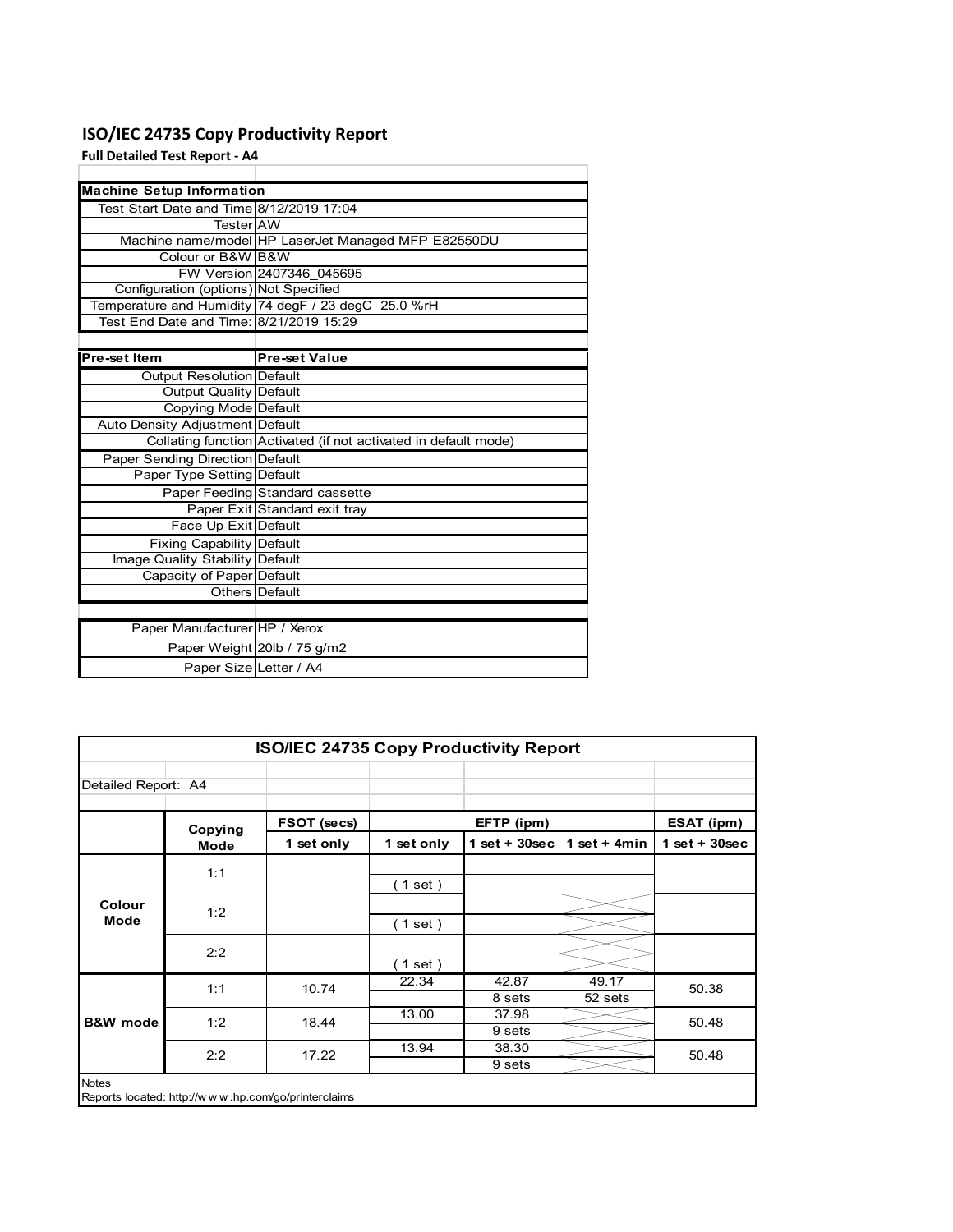## **ISO/IEC 24735 Copy Productivity Report**

**Full Detailed Test Report ‐ A4**

| <b>Machine Setup Information</b>         |                                                                 |  |  |  |  |
|------------------------------------------|-----------------------------------------------------------------|--|--|--|--|
| Test Start Date and Time 8/12/2019 17:04 |                                                                 |  |  |  |  |
| TesterIAW                                |                                                                 |  |  |  |  |
|                                          | Machine name/model HP LaserJet Managed MFP E82550DU             |  |  |  |  |
| Colour or B&W B&W                        |                                                                 |  |  |  |  |
|                                          | FW Version 2407346 045695                                       |  |  |  |  |
| Configuration (options) Not Specified    |                                                                 |  |  |  |  |
|                                          | Temperature and Humidity 74 degF / 23 degC 25.0 %rH             |  |  |  |  |
| Test End Date and Time: 8/21/2019 15:29  |                                                                 |  |  |  |  |
|                                          |                                                                 |  |  |  |  |
| Pre-set Item                             | <b>Pre-set Value</b>                                            |  |  |  |  |
| Output Resolution Default                |                                                                 |  |  |  |  |
| <b>Output Quality Default</b>            |                                                                 |  |  |  |  |
| Copying Mode Default                     |                                                                 |  |  |  |  |
| Auto Density Adjustment Default          |                                                                 |  |  |  |  |
|                                          | Collating function Activated (if not activated in default mode) |  |  |  |  |
| Paper Sending Direction Default          |                                                                 |  |  |  |  |
| Paper Type Setting Default               |                                                                 |  |  |  |  |
|                                          | Paper Feeding Standard cassette                                 |  |  |  |  |
|                                          | Paper Exit Standard exit tray                                   |  |  |  |  |
| Face Up Exit Default                     |                                                                 |  |  |  |  |
| <b>Fixing Capability Default</b>         |                                                                 |  |  |  |  |
| Image Quality Stability Default          |                                                                 |  |  |  |  |
| Capacity of Paper Default                |                                                                 |  |  |  |  |
|                                          | Others Default                                                  |  |  |  |  |
|                                          |                                                                 |  |  |  |  |
| Paper Manufacturer HP / Xerox            |                                                                 |  |  |  |  |
|                                          | Paper Weight 20lb / 75 g/m2                                     |  |  |  |  |
| Paper Size Letter / A4                   |                                                                 |  |  |  |  |

| ISO/IEC 24735 Copy Productivity Report |         |                                                     |            |                 |                  |                 |
|----------------------------------------|---------|-----------------------------------------------------|------------|-----------------|------------------|-----------------|
| Detailed Report: A4                    |         |                                                     |            |                 |                  |                 |
|                                        | Copying | FSOT (secs)                                         |            | EFTP (ipm)      |                  | ESAT (ipm)      |
|                                        | Mode    | 1 set only                                          | 1 set only | $1$ set + 30sec | 1 set + 4 $min$  | $1$ set + 30sec |
|                                        | 1:1     |                                                     | (1 set)    |                 |                  |                 |
| Colour<br>Mode                         | 1:2     |                                                     | (1 set)    |                 |                  |                 |
|                                        | 2:2     |                                                     | (1 set )   |                 |                  |                 |
|                                        | 1:1     | 10.74                                               | 22.34      | 42.87<br>8 sets | 49.17<br>52 sets | 50.38           |
| <b>B&amp;W</b> mode                    | 1:2     | 18.44                                               | 13.00      | 37.98<br>9 sets |                  | 50.48           |
|                                        | 2:2     | 17.22                                               | 13.94      | 38.30<br>9 sets |                  | 50.48           |
| <b>Notes</b>                           |         | Reports located: http://www.hp.com/go/printerclaims |            |                 |                  |                 |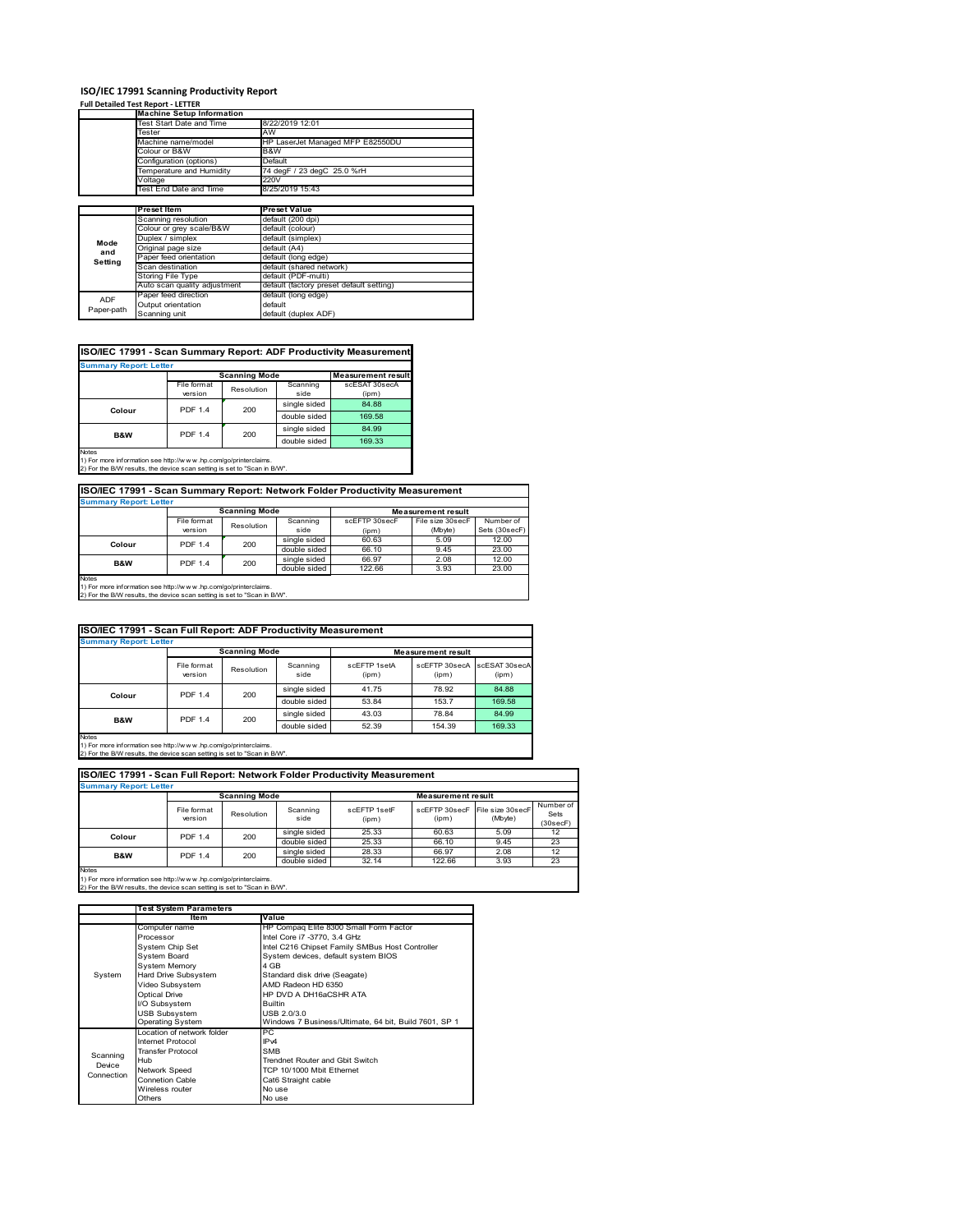### **Full Detailed Test Report ‐ LETTER**

|                          | <b>Machine Setup Information</b> |                                          |  |  |  |
|--------------------------|----------------------------------|------------------------------------------|--|--|--|
|                          | Test Start Date and Time         | 8/22/2019 12:01                          |  |  |  |
|                          | Tester                           | AW                                       |  |  |  |
|                          | Machine name/model               | HP LaserJet Managed MFP E82550DU         |  |  |  |
|                          | Colour or B&W                    | B&W                                      |  |  |  |
|                          | Configuration (options)          | Default                                  |  |  |  |
|                          | Temperature and Humidity         | 74 degF / 23 degC 25.0 %rH               |  |  |  |
|                          | Voltage                          | 220V                                     |  |  |  |
|                          | Test End Date and Time           | 8/25/2019 15:43                          |  |  |  |
|                          |                                  |                                          |  |  |  |
|                          | Preset Item                      | <b>Preset Value</b>                      |  |  |  |
|                          |                                  |                                          |  |  |  |
|                          | Scanning resolution              | default (200 dpi)                        |  |  |  |
|                          | Colour or grey scale/B&W         | default (colour)                         |  |  |  |
|                          | Duplex / simplex                 | default (simplex)                        |  |  |  |
| Mode                     | Original page size               | default (A4)                             |  |  |  |
| and                      | Paper feed orientation           | default (long edge)                      |  |  |  |
| Setting                  | Scan destination                 | default (shared network)                 |  |  |  |
|                          | Storing File Type                | default (PDF-multi)                      |  |  |  |
|                          | Auto scan quality adjustment     | default (factory preset default setting) |  |  |  |
|                          | Paper feed direction             | default (long edge)                      |  |  |  |
| <b>ADF</b><br>Paper-path | Output orientation               | default                                  |  |  |  |

| ISO/IEC 17991 - Scan Summary Report: ADF Productivity Measurement |  |
|-------------------------------------------------------------------|--|
|-------------------------------------------------------------------|--|

| <b>Summary Report: Letter</b>    |                |                                                   |              |               |  |
|----------------------------------|----------------|---------------------------------------------------|--------------|---------------|--|
|                                  |                | <b>Scanning Mode</b><br><b>Measurement result</b> |              |               |  |
|                                  | File format    | Resolution                                        | Scanning     | scESAT 30secA |  |
|                                  | version        |                                                   | side         | (ipm)         |  |
| Colour                           | <b>PDF 1.4</b> | 200                                               | single sided | 84.88         |  |
|                                  |                |                                                   | double sided | 169.58        |  |
| <b>PDF 1.4</b><br><b>B&amp;W</b> |                | 200                                               | single sided | 84.99         |  |
|                                  |                |                                                   |              | 169.33        |  |
| <b>Notes</b>                     |                |                                                   |              |               |  |

Notes 1) For more information see http://w w w .hp.com/go/printerclaims. 2) For the B/W results, the device scan setting is set to "Scan in B/W".

| <b>Summary Report: Letter</b>                                            |                           |     |              |                           |                  |               |
|--------------------------------------------------------------------------|---------------------------|-----|--------------|---------------------------|------------------|---------------|
|                                                                          | <b>Scanning Mode</b>      |     |              | <b>Measurement result</b> |                  |               |
|                                                                          | File format<br>Resolution |     | Scanning     | scEFTP 30secF             | File size 30secF | Number of     |
|                                                                          | version                   |     | side         | (ipm)                     | (Mbyte)          | Sets (30secF) |
|                                                                          | <b>PDF 1.4</b><br>Colour  | 200 | single sided | 60.63                     | 5.09             | 12.00         |
|                                                                          |                           |     | double sided | 66.10                     | 9.45             | 23.00         |
| B&W                                                                      | <b>PDF 1.4</b>            | 200 | single sided | 66.97                     | 2.08             | 12.00         |
|                                                                          |                           |     |              | 122.66                    | 3.93             | 23.00         |
| <b>Notes</b>                                                             |                           |     |              |                           |                  |               |
| 1) For more information see http://www.hp.com/go/printerclaims.          |                           |     |              |                           |                  |               |
| 2) For the B/W results, the device scan setting is set to "Scan in B/W". |                           |     |              |                           |                  |               |

| ISO/IEC 17991 - Scan Full Report: ADF Productivity Measurement |                        |                      |                  |                           |                        |                        |
|----------------------------------------------------------------|------------------------|----------------------|------------------|---------------------------|------------------------|------------------------|
| <b>Summary Report: Letter</b>                                  |                        |                      |                  |                           |                        |                        |
|                                                                |                        | <b>Scanning Mode</b> |                  | <b>Measurement result</b> |                        |                        |
|                                                                | File format<br>version | Resolution           | Scanning<br>side | scFFTP 1setA<br>(ipm)     | scEFTP 30secA<br>(ipm) | scESAT 30secA<br>(ipm) |
| Colour                                                         | 200<br><b>PDF 1.4</b>  |                      | single sided     | 41.75                     | 78.92                  | 84.88                  |
|                                                                |                        |                      | double sided     | 53.84                     | 153.7                  | 169.58                 |
|                                                                | B&W<br><b>PDF 1.4</b>  | 200                  | single sided     | 43.03                     | 78.84                  | 84.99                  |
|                                                                |                        |                      | double sided     | 52.39                     | 154.39                 | 169.33                 |
| $1 - 4 - -$                                                    |                        |                      |                  |                           |                        |                        |

Notes 1) For more information see http://w w w .hp.com/go/printerclaims. 2) For the B/W results, the device scan setting is set to "Scan in B/W".

| ISO/IEC 17991 - Scan Full Report: Network Folder Productivity Measurement |                                                   |            |                  |                       |                                         |         |                               |
|---------------------------------------------------------------------------|---------------------------------------------------|------------|------------------|-----------------------|-----------------------------------------|---------|-------------------------------|
| <b>Summary Report: Letter</b>                                             |                                                   |            |                  |                       |                                         |         |                               |
|                                                                           | <b>Scanning Mode</b><br><b>Measurement result</b> |            |                  |                       |                                         |         |                               |
|                                                                           | File format<br>version                            | Resolution | Scanning<br>side | scFFTP 1setF<br>(ipm) | scEFTP 30secF File size 30secF<br>(ipm) | (Mbyte) | Number of<br>Sets<br>(30secF) |
| Colour                                                                    | <b>PDF 1.4</b>                                    | 200        | single sided     | 25.33                 | 60.63                                   | 5.09    | 12                            |
|                                                                           |                                                   |            | double sided     | 25.33                 | 66.10                                   | 9.45    | 23                            |
| B&W                                                                       | <b>PDF 1.4</b>                                    | 200        | single sided     | 28.33                 | 66.97                                   | 2.08    | 12                            |
|                                                                           |                                                   |            | double sided     | 32.14                 | 122.66                                  | 3.93    | 23                            |
| <b>Maton</b>                                                              |                                                   |            |                  |                       |                                         |         |                               |

|            | <b>Test System Parameters</b> |                                                       |  |  |
|------------|-------------------------------|-------------------------------------------------------|--|--|
|            | Item                          | Value                                                 |  |  |
|            | Computer name                 | HP Compaq Elite 8300 Small Form Factor                |  |  |
|            | Processor                     | Intel Core i7 -3770, 3.4 GHz                          |  |  |
|            | System Chip Set               | Intel C216 Chipset Family SMBus Host Controller       |  |  |
|            | <b>System Board</b>           | System devices, default system BIOS                   |  |  |
|            | <b>System Memory</b>          | 4 GB                                                  |  |  |
| System     | Hard Drive Subsystem          | Standard disk drive (Seagate)                         |  |  |
|            | Video Subsystem               | AMD Radeon HD 6350                                    |  |  |
|            | Optical Drive                 | HP DVD A DH16aCSHR ATA                                |  |  |
|            | I/O Subsystem                 | <b>Builtin</b>                                        |  |  |
|            | <b>USB Subsystem</b>          | USB 2.0/3.0                                           |  |  |
|            | <b>Operating System</b>       | Windows 7 Business/Ultimate, 64 bit, Build 7601, SP 1 |  |  |
|            | Location of network folder    | PС                                                    |  |  |
|            | Internet Protocol             | IP <sub>v4</sub>                                      |  |  |
| Scanning   | <b>Transfer Protocol</b>      | <b>SMB</b>                                            |  |  |
| Device     | Hub                           | Trendnet Router and Gbit Switch                       |  |  |
| Connection | Network Speed                 | TCP 10/1000 Mbit Fthernet                             |  |  |
|            | <b>Connetion Cable</b>        | Cat6 Straight cable                                   |  |  |
|            | Wireless router               | No use                                                |  |  |
|            | Others                        | No use                                                |  |  |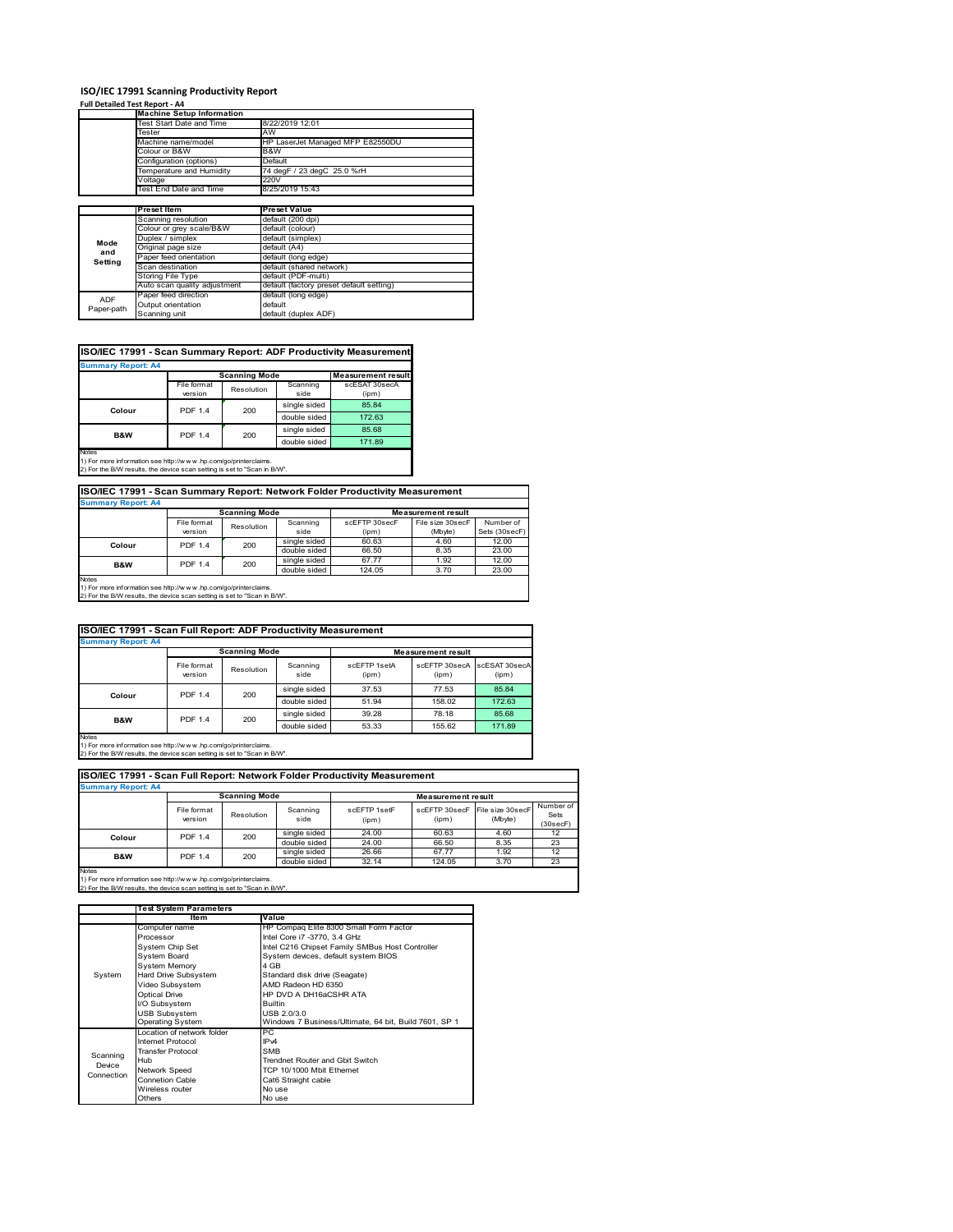### **Full Detailed Test Report ‐ A4**

|            | <b>Machine Setup Information</b> |                                          |  |  |  |  |
|------------|----------------------------------|------------------------------------------|--|--|--|--|
|            | Test Start Date and Time         | 8/22/2019 12:01                          |  |  |  |  |
|            | Tester                           | AW                                       |  |  |  |  |
|            | Machine name/model               | HP LaserJet Managed MFP E82550DU         |  |  |  |  |
|            | Colour or B&W                    | B&W                                      |  |  |  |  |
|            | Configuration (options)          | Default                                  |  |  |  |  |
|            | Temperature and Humidity         | 74 degF / 23 degC 25.0 %rH               |  |  |  |  |
|            | Voltage                          | 220V                                     |  |  |  |  |
|            | Test End Date and Time           | 8/25/2019 15:43                          |  |  |  |  |
|            |                                  |                                          |  |  |  |  |
|            | <b>Preset Item</b>               | <b>Preset Value</b>                      |  |  |  |  |
|            | Scanning resolution              | default (200 dpi)                        |  |  |  |  |
|            | Colour or grey scale/B&W         | default (colour)                         |  |  |  |  |
| Mode       | Duplex / simplex                 | default (simplex)                        |  |  |  |  |
| and        | Original page size               | default (A4)                             |  |  |  |  |
| Setting    | Paper feed orientation           | default (long edge)                      |  |  |  |  |
|            | Scan destination                 | default (shared network)                 |  |  |  |  |
|            | Storing File Type                | default (PDF-multi)                      |  |  |  |  |
|            | Auto scan quality adjustment     | default (factory preset default setting) |  |  |  |  |
| <b>ADF</b> | Paper feed direction             | default (long edge)                      |  |  |  |  |
| Paper-path | Output orientation               | default                                  |  |  |  |  |
|            | Scanning unit                    | default (duplex ADF)                     |  |  |  |  |

| ISO/IEC 17991 - Scan Summary Report: ADF Productivity Measurement |  |
|-------------------------------------------------------------------|--|

| <b>Summary Report: A4</b> |                |                      |              |                           |
|---------------------------|----------------|----------------------|--------------|---------------------------|
|                           |                | <b>Scanning Mode</b> |              | <b>Measurement result</b> |
|                           | File format    | Resolution           | Scanning     | scESAT 30secA             |
|                           | version        |                      | side         | (ipm)                     |
| Colour                    | <b>PDF 1.4</b> | 200                  | single sided | 85.84                     |
|                           |                |                      | double sided | 172.63                    |
| <b>B&amp;W</b>            | <b>PDF 1.4</b> | 200                  | single sided | 85.68                     |
|                           |                |                      | double sided | 171.89                    |
| <b>Notes</b>              |                |                      |              |                           |

1) For more information see http://w w w .hp.com/go/printerclaims. 2) For the B/W results, the device scan setting is set to "Scan in B/W".

**ISO/IEC 17991 - Scan Summary Report: Network Folder Productivity Measurement Summary Report: A4**

|                                                                          |                | <b>Scanning Mode</b> |              |               | <b>Measurement result</b> |               |
|--------------------------------------------------------------------------|----------------|----------------------|--------------|---------------|---------------------------|---------------|
|                                                                          | File format    |                      | Scanning     | scEFTP 30secF | File size 30secF          | Number of     |
|                                                                          | version        | Resolution           | side         | (ipm)         | (Mbyte)                   | Sets (30secF) |
| Colour                                                                   | <b>PDF 1.4</b> | 200                  | single sided | 60.63         | 4.60                      | 12.00         |
|                                                                          |                |                      | double sided | 66.50         | 8.35                      | 23.00         |
| B&W                                                                      | <b>PDF 1.4</b> | 200                  | single sided | 67.77         | 1.92                      | 12.00         |
|                                                                          |                |                      | double sided | 124.05        | 3.70                      | 23.00         |
| <b>Notes</b>                                                             |                |                      |              |               |                           |               |
| 1) For more information see http://w w w .hp.com/go/printerclaims.       |                |                      |              |               |                           |               |
| 2) For the B/W results, the device scan setting is set to "Scan in B/W". |                |                      |              |               |                           |               |

| ISO/IEC 17991 - Scan Full Report: ADF Productivity Measurement |                        |                      |                  |                       |                           |                        |
|----------------------------------------------------------------|------------------------|----------------------|------------------|-----------------------|---------------------------|------------------------|
| <b>Summary Report: A4</b>                                      |                        |                      |                  |                       |                           |                        |
|                                                                |                        | <b>Scanning Mode</b> |                  |                       | <b>Measurement result</b> |                        |
|                                                                | File format<br>version | Resolution           | Scanning<br>side | scFFTP 1setA<br>(ipm) | scEFTP 30secA<br>(ipm)    | scESAT 30secA<br>(ipm) |
| Colour                                                         | <b>PDF 1.4</b>         | 200                  | single sided     | 37.53                 | 77.53                     | 85.84                  |
|                                                                |                        |                      | double sided     | 51.94                 | 158.02                    | 172.63                 |
| B&W                                                            | <b>PDF 1.4</b>         | 200                  | single sided     | 39.28                 | 78.18                     | 85.68                  |
|                                                                |                        |                      | double sided     | 53.33                 | 155.62                    | 171.89                 |
| $\overline{\phantom{a}}$                                       |                        |                      |                  |                       |                           |                        |

Notes 1) For more information see http://w w w .hp.com/go/printerclaims. 2) For the B/W results, the device scan setting is set to "Scan in B/W".

| ISO/IEC 17991 - Scan Full Report: Network Folder Productivity Measurement |                        |                      |                  |                       |                                         |         |                               |
|---------------------------------------------------------------------------|------------------------|----------------------|------------------|-----------------------|-----------------------------------------|---------|-------------------------------|
| <b>Summary Report: A4</b>                                                 |                        |                      |                  |                       |                                         |         |                               |
|                                                                           |                        | <b>Scanning Mode</b> |                  |                       | <b>Measurement result</b>               |         |                               |
|                                                                           | File format<br>version | Resolution           | Scanning<br>side | scFFTP 1setF<br>(ipm) | scEFTP 30secF File size 30secF<br>(ipm) | (Mbyte) | Number of<br>Sets<br>(30secF) |
| Colour                                                                    | <b>PDF 1.4</b>         | 200                  | single sided     | 24.00                 | 60.63                                   | 4.60    | 12                            |
|                                                                           |                        |                      | double sided     | 24.00                 | 66.50                                   | 8.35    | 23                            |
| <b>B&amp;W</b>                                                            | <b>PDF 1.4</b>         | 200                  | single sided     | 26.66                 | 67.77                                   | 1.92    | 12                            |
|                                                                           |                        |                      | double sided     | 32.14                 | 124.05                                  | 3.70    | 23                            |
| <b>Notae</b>                                                              |                        |                      |                  |                       |                                         |         |                               |

|            | <b>Test System Parameters</b> |                                                       |
|------------|-------------------------------|-------------------------------------------------------|
|            | Item                          | Value                                                 |
|            | Computer name                 | HP Compaq Elite 8300 Small Form Factor                |
|            | Processor                     | Intel Core i7 -3770, 3.4 GHz                          |
|            | System Chip Set               | Intel C216 Chipset Family SMBus Host Controller       |
|            | <b>System Board</b>           | System devices, default system BIOS                   |
|            | <b>System Memory</b>          | 4 GB                                                  |
| System     | Hard Drive Subsystem          | Standard disk drive (Seagate)                         |
|            | Video Subsystem               | AMD Radeon HD 6350                                    |
|            | <b>Optical Drive</b>          | HP DVD A DH16aCSHR ATA                                |
|            | I/O Subsystem                 | <b>Builtin</b>                                        |
|            | <b>USB Subsystem</b>          | USB 2.0/3.0                                           |
|            | <b>Operating System</b>       | Windows 7 Business/Ultimate, 64 bit, Build 7601, SP 1 |
|            | Location of network folder    | PС                                                    |
|            | Internet Protocol             | IP <sub>v4</sub>                                      |
| Scanning   | <b>Transfer Protocol</b>      | <b>SMB</b>                                            |
| Device     | Hub                           | Trendnet Router and Gbit Switch                       |
| Connection | Network Speed                 | TCP 10/1000 Mbit Ethernet                             |
|            | <b>Connetion Cable</b>        | Cat6 Straight cable                                   |
|            | Wireless router               | No use                                                |
|            | Others                        | No use                                                |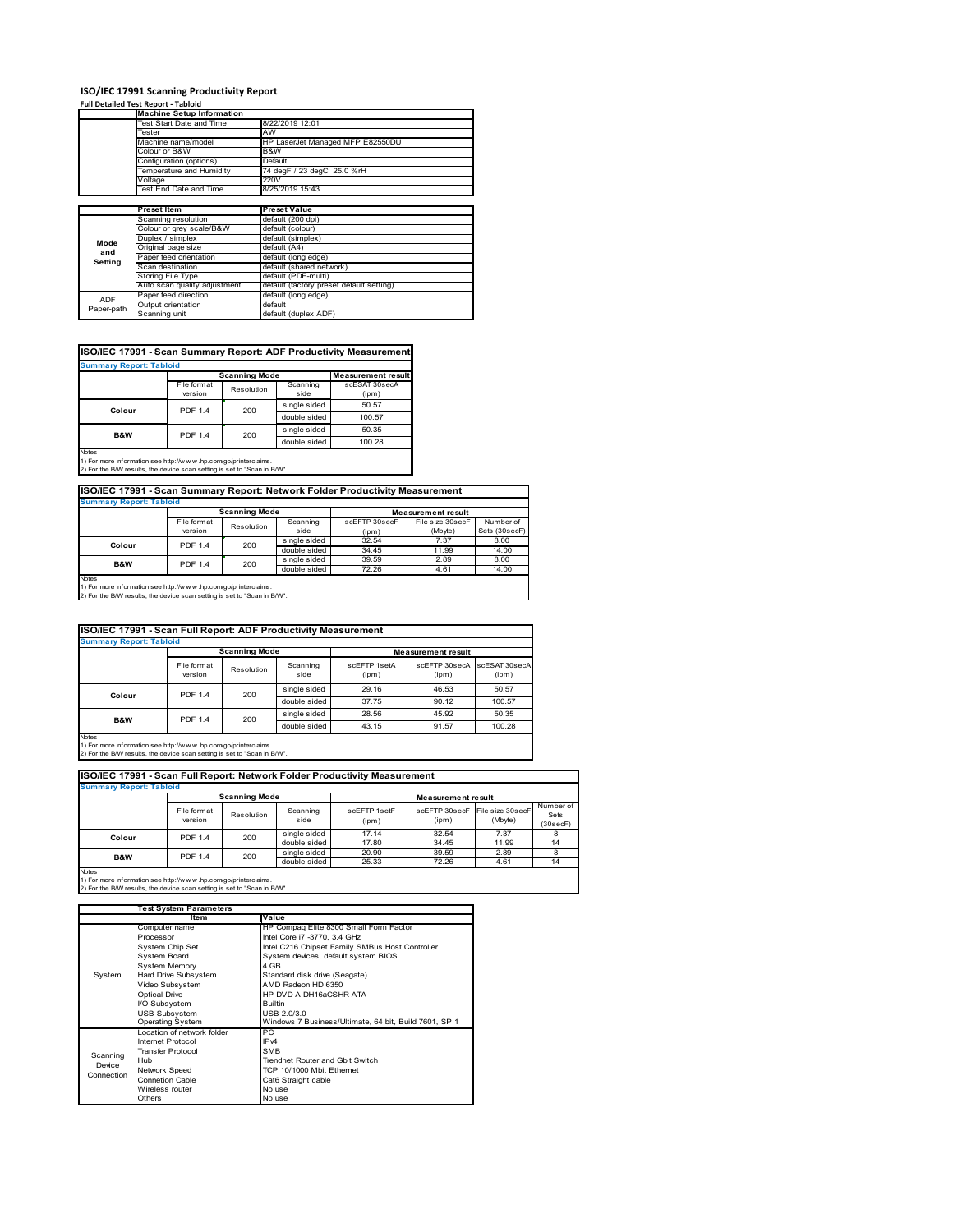### **Full Detailed Test Report ‐ Tabloid**

ADF Paper-path

|         | <b>Machine Setup Information</b> |                                  |
|---------|----------------------------------|----------------------------------|
|         | Test Start Date and Time         | 8/22/2019 12:01                  |
|         | Tester                           | AW                               |
|         | Machine name/model               | HP LaserJet Managed MFP E82550DU |
|         | Colour or B&W                    | B&W                              |
|         | Configuration (options)          | Default                          |
|         | Temperature and Humidity         | 74 degF / 23 degC 25.0 %rH       |
|         | Voltage                          | 220V                             |
|         | Test End Date and Time           | 8/25/2019 15:43                  |
|         |                                  |                                  |
|         |                                  |                                  |
|         | Preset Item                      | <b>Preset Value</b>              |
|         | Scanning resolution              | default (200 dpi)                |
|         | Colour or grey scale/B&W         | default (colour)                 |
|         | Duplex / simplex                 | default (simplex)                |
| Mode    | Original page size               | default (A4)                     |
| and     | Paper feed orientation           | default (long edge)              |
| Setting | Scan destination                 | default (shared network)         |
|         | <b>Storing File Type</b>         | default (PDF-multi)              |

-------- <sub>(\*\*\*\*</sub>s --<sub>5</sub>-*)*<br>default (duplex ADF)

| <b>Summary Report: Tabloid</b> |                        |                      |                  |                           |
|--------------------------------|------------------------|----------------------|------------------|---------------------------|
|                                |                        | <b>Scanning Mode</b> |                  | <b>Measurement result</b> |
|                                | File format<br>version | Resolution           | Scanning<br>side | scESAT 30secA<br>(ipm)    |
| Colour                         | <b>PDF 1.4</b>         | 200                  | single sided     | 50.57                     |
|                                |                        |                      | double sided     | 100.57                    |
| B&W                            | <b>PDF 1.4</b>         | 200                  | single sided     | 50.35                     |
|                                |                        |                      | double sided     | 100.28                    |

Paper feed direction default (long edge) Output orientation default

1) For more information see http://w w w .hp.com/go/printerclaims. 2) For the B/W results, the device scan setting is set to "Scan in B/W".

## **Summary Report: Tabloid ISO/IEC 17991 - Scan Summary Report: Network Folder Productivity Measurement**

| <b>UWIIIIIIIIIII</b> INGUVILI IUMUNI |                      |            |                           |               |                  |               |
|--------------------------------------|----------------------|------------|---------------------------|---------------|------------------|---------------|
|                                      | <b>Scanning Mode</b> |            | <b>Measurement result</b> |               |                  |               |
|                                      | File format          | Resolution | Scanning                  | scEFTP 30secF | File size 30secF | Number of     |
|                                      | version              |            | side                      | (ipm)         | (Mbyte)          | Sets (30secF) |
| Colour                               | <b>PDF 1.4</b>       | 200        | single sided              | 32.54         | 7.37             | 8.00          |
|                                      |                      |            | double sided              | 34.45         | 11.99            | 14.00         |
| B&W                                  | <b>PDF 1.4</b>       | 200        | single sided              | 39.59         | 2.89             | 8.00          |
|                                      |                      |            | double sided              | 72.26         | 4.61             | 14.00         |
| <b>Notes</b>                         |                      |            |                           |               |                  |               |

Notes 1) For more information see http://w w w .hp.com/go/printerclaims. 2) For the B/W results, the device scan setting is set to "Scan in B/W".

| ISO/IEC 17991 - Scan Full Report: ADF Productivity Measurement |                        |                      |                  |                       |                           |                        |
|----------------------------------------------------------------|------------------------|----------------------|------------------|-----------------------|---------------------------|------------------------|
| <b>Summary Report: Tabloid</b>                                 |                        |                      |                  |                       |                           |                        |
|                                                                |                        | <b>Scanning Mode</b> |                  |                       | <b>Measurement result</b> |                        |
|                                                                | File format<br>version | Resolution           | Scanning<br>side | scFFTP 1setA<br>(ipm) | scEFTP 30secA<br>(ipm)    | scESAT 30secA<br>(ipm) |
| Colour                                                         | <b>PDF 1.4</b>         | 200                  | single sided     | 29.16                 | 46.53                     | 50.57                  |
|                                                                |                        |                      | double sided     | 37.75                 | 90.12                     | 100.57                 |
| B&W                                                            | <b>PDF 1.4</b>         | 200                  | single sided     | 28.56                 | 45.92                     | 50.35                  |
|                                                                |                        |                      | double sided     | 43.15                 | 91.57                     | 100.28                 |
| <b>Naton</b>                                                   |                        |                      |                  |                       |                           |                        |

Notes 1) For more information see http://w w w .hp.com/go/printerclaims. 2) For the B/W results, the device scan setting is set to "Scan in B/W".

| ISO/IEC 17991 - Scan Full Report: Network Folder Productivity Measurement |                        |                      |                  |                       |                           |                             |                               |
|---------------------------------------------------------------------------|------------------------|----------------------|------------------|-----------------------|---------------------------|-----------------------------|-------------------------------|
| <b>Summary Report: Tabloid</b>                                            |                        |                      |                  |                       |                           |                             |                               |
|                                                                           |                        | <b>Scanning Mode</b> |                  |                       | <b>Measurement result</b> |                             |                               |
|                                                                           | File format<br>version | Resolution           | Scanning<br>side | scFFTP 1setF<br>(ipm) | scEFTP 30secF<br>(ipm)    | File size 30secF<br>(Mbyte) | Number of<br>Sets<br>(30secF) |
| Colour                                                                    | <b>PDF 1.4</b>         | 200                  | single sided     | 17.14                 | 32.54                     | 7.37                        |                               |
|                                                                           |                        |                      | double sided     | 17.80                 | 34.45                     | 11.99                       | 14                            |
| <b>B&amp;W</b>                                                            | <b>PDF 1.4</b>         | 200                  | single sided     | 20.90                 | 39.59                     | 2.89                        | 8                             |
|                                                                           |                        |                      | double sided     | 25.33                 | 72.26                     | 4.61                        | 14                            |
| <b>Notes</b>                                                              |                        |                      |                  |                       |                           |                             |                               |

|            | <b>Test System Parameters</b> |                                                       |
|------------|-------------------------------|-------------------------------------------------------|
|            | <b>Item</b>                   | Value                                                 |
|            | Computer name                 | HP Compaq Elite 8300 Small Form Factor                |
|            | Processor                     | Intel Core i7 -3770, 3.4 GHz                          |
|            | System Chip Set               | Intel C216 Chipset Family SMBus Host Controller       |
|            | <b>System Board</b>           | System devices, default system BIOS                   |
|            | <b>System Memory</b>          | 4 GB                                                  |
| System     | Hard Drive Subsystem          | Standard disk drive (Seagate)                         |
|            | Video Subsystem               | AMD Radeon HD 6350                                    |
|            | <b>Optical Drive</b>          | HP DVD A DH16aCSHR ATA                                |
|            | I/O Subsystem                 | <b>Builtin</b>                                        |
|            | <b>USB Subsystem</b>          | USB 2.0/3.0                                           |
|            | <b>Operating System</b>       | Windows 7 Business/Ultimate, 64 bit, Build 7601, SP 1 |
|            | I ocation of network folder   | PC                                                    |
|            | Internet Protocol             | IP <sub>v4</sub>                                      |
| Scanning   | <b>Transfer Protocol</b>      | <b>SMB</b>                                            |
| Device     | Hub                           | Trendnet Router and Gbit Switch                       |
| Connection | Network Speed                 | TCP 10/1000 Mbit Ethernet                             |
|            | Connetion Cable               | Cat6 Straight cable                                   |
|            | Wireless router               | No use                                                |
|            | Others                        | No use                                                |